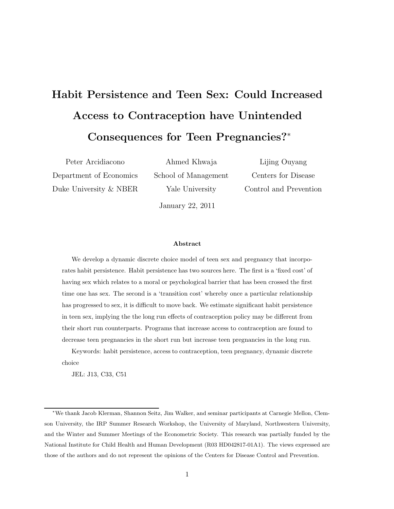# Habit Persistence and Teen Sex: Could Increased Access to Contraception have Unintended Consequences for Teen Pregnancies?<sup>∗</sup>

Peter Arcidiacono Department of Economics Duke University & NBER

Ahmed Khwaja School of Management Yale University

Lijing Ouyang Centers for Disease Control and Prevention

January 22, 2011

### Abstract

We develop a dynamic discrete choice model of teen sex and pregnancy that incorporates habit persistence. Habit persistence has two sources here. The first is a 'fixed cost' of having sex which relates to a moral or psychological barrier that has been crossed the first time one has sex. The second is a 'transition cost' whereby once a particular relationship has progressed to sex, it is difficult to move back. We estimate significant habit persistence in teen sex, implying the the long run effects of contraception policy may be different from their short run counterparts. Programs that increase access to contraception are found to decrease teen pregnancies in the short run but increase teen pregnancies in the long run.

Keywords: habit persistence, access to contraception, teen pregnancy, dynamic discrete choice

JEL: J13, C33, C51

<sup>∗</sup>We thank Jacob Klerman, Shannon Seitz, Jim Walker, and seminar participants at Carnegie Mellon, Clemson University, the IRP Summer Research Workshop, the University of Maryland, Northwestern University, and the Winter and Summer Meetings of the Econometric Society. This research was partially funded by the National Institute for Child Health and Human Development (R03 HD042817-01A1). The views expressed are those of the authors and do not represent the opinions of the Centers for Disease Control and Prevention.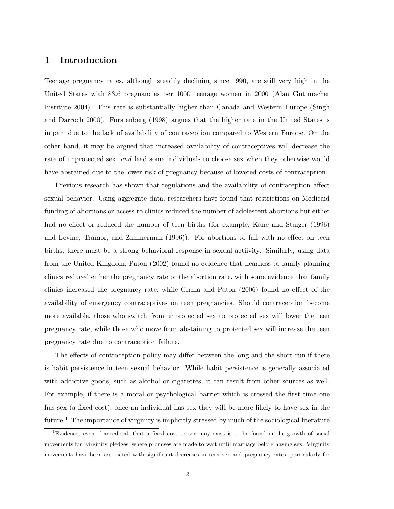# 1 Introduction

Teenage pregnancy rates, although steadily declining since 1990, are still very high in the United States with 83.6 pregnancies per 1000 teenage women in 2000 (Alan Guttmacher Institute 2004). This rate is substantially higher than Canada and Western Europe (Singh and Darroch 2000). Furstenberg (1998) argues that the higher rate in the United States is in part due to the lack of availability of contraception compared to Western Europe. On the other hand, it may be argued that increased availability of contraceptives will decrease the rate of unprotected sex, and lead some individuals to choose sex when they otherwise would have abstained due to the lower risk of pregnancy because of lowered costs of contraception.

Previous research has shown that regulations and the availability of contraception affect sexual behavior. Using aggregate data, researchers have found that restrictions on Medicaid funding of abortions or access to clinics reduced the number of adolescent abortions but either had no effect or reduced the number of teen births (for example, Kane and Staiger (1996) and Levine, Trainor, and Zimmerman (1996)). For abortions to fall with no effect on teen births, there must be a strong behavioral response in sexual actiivity. Similarly, using data from the United Kingdom, Paton (2002) found no evidence that nearness to family planning clinics reduced either the pregnancy rate or the abortion rate, with some evidence that family clinics increased the pregnancy rate, while Girma and Paton (2006) found no effect of the availability of emergency contraceptives on teen pregnancies. Should contraception become more available, those who switch from unprotected sex to protected sex will lower the teen pregnancy rate, while those who move from abstaining to protected sex will increase the teen pregnancy rate due to contraception failure.

The effects of contraception policy may differ between the long and the short run if there is habit persistence in teen sexual behavior. While habit persistence is generally associated with addictive goods, such as alcohol or cigarettes, it can result from other sources as well. For example, if there is a moral or psychological barrier which is crossed the first time one has sex (a fixed cost), once an individual has sex they will be more likely to have sex in the future.<sup>1</sup> The importance of virginity is implicitly stressed by much of the sociological literature

<sup>1</sup>Evidence, even if anecdotal, that a fixed cost to sex may exist is to be found in the growth of social movements for 'virginity pledges' where promises are made to wait until marriage before having sex. Virginity movements have been associated with significant decreases in teen sex and pregnancy rates, particularly for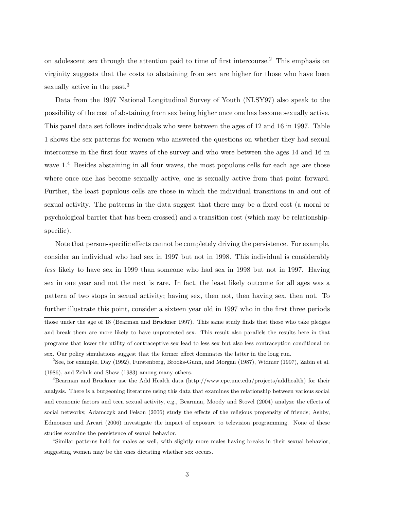on adolescent sex through the attention paid to time of first intercourse.<sup>2</sup> This emphasis on virginity suggests that the costs to abstaining from sex are higher for those who have been sexually active in the past.<sup>3</sup>

Data from the 1997 National Longitudinal Survey of Youth (NLSY97) also speak to the possibility of the cost of abstaining from sex being higher once one has become sexually active. This panel data set follows individuals who were between the ages of 12 and 16 in 1997. Table 1 shows the sex patterns for women who answered the questions on whether they had sexual intercourse in the first four waves of the survey and who were between the ages 14 and 16 in wave  $1<sup>4</sup>$  Besides abstaining in all four waves, the most populous cells for each age are those where once one has become sexually active, one is sexually active from that point forward. Further, the least populous cells are those in which the individual transitions in and out of sexual activity. The patterns in the data suggest that there may be a fixed cost (a moral or psychological barrier that has been crossed) and a transition cost (which may be relationshipspecific).

Note that person-specific effects cannot be completely driving the persistence. For example, consider an individual who had sex in 1997 but not in 1998. This individual is considerably less likely to have sex in 1999 than someone who had sex in 1998 but not in 1997. Having sex in one year and not the next is rare. In fact, the least likely outcome for all ages was a pattern of two stops in sexual activity; having sex, then not, then having sex, then not. To further illustrate this point, consider a sixteen year old in 1997 who in the first three periods those under the age of 18 (Bearman and Brückner 1997). This same study finds that those who take pledges and break them are more likely to have unprotected sex. This result also parallels the results here in that programs that lower the utility of contraceptive sex lead to less sex but also less contraception conditional on sex. Our policy simulations suggest that the former effect dominates the latter in the long run.

<sup>2</sup>See, for example, Day (1992), Furstenberg, Brooks-Gunn, and Morgan (1987), Widmer (1997), Zabin et al. (1986), and Zelnik and Shaw (1983) among many others.

 ${}^{3}$ Bearman and Brückner use the Add Health data (http://www.cpc.unc.edu/projects/addhealth) for their analysis. There is a burgeoning literature using this data that examines the relationship between various social and economic factors and teen sexual activity, e.g., Bearman, Moody and Stovel (2004) analyze the effects of social networks; Adamczyk and Felson (2006) study the effects of the religious propensity of friends; Ashby, Edmonson and Arcari (2006) investigate the impact of exposure to television programming. None of these studies examine the persistence of sexual behavior.

<sup>4</sup>Similar patterns hold for males as well, with slightly more males having breaks in their sexual behavior, suggesting women may be the ones dictating whether sex occurs.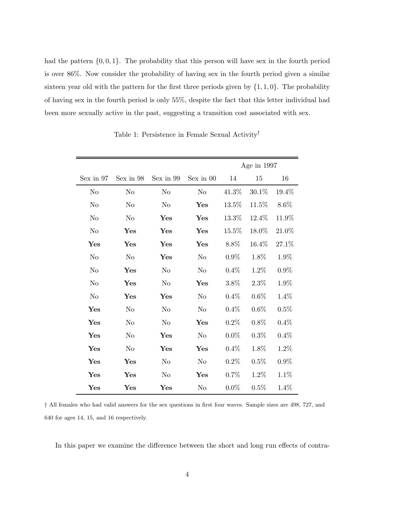had the pattern  $\{0, 0, 1\}$ . The probability that this person will have sex in the fourth period is over 86%. Now consider the probability of having sex in the fourth period given a similar sixteen year old with the pattern for the first three periods given by  $\{1, 1, 0\}$ . The probability of having sex in the fourth period is only 55%, despite the fact that this letter individual had been more sexually active in the past, suggesting a transition cost associated with sex.

|                |                |                |                |          | Age in 1997 |          |
|----------------|----------------|----------------|----------------|----------|-------------|----------|
| Sex in 97      | Sex in 98      | Sex in 99      | Sex in 00      | 14       | 15          | 16       |
| N <sub>o</sub> | N <sub>o</sub> | N <sub>o</sub> | N <sub>o</sub> | 41.3%    | 30.1%       | $19.4\%$ |
| N <sub>o</sub> | N <sub>o</sub> | N <sub>o</sub> | Yes            | $13.5\%$ | 11.5%       | 8.6%     |
| N <sub>o</sub> | N <sub>o</sub> | Yes            | Yes            | 13.3%    | 12.4%       | 11.9%    |
| N <sub>o</sub> | Yes            | Yes            | Yes            | $15.5\%$ | 18.0%       | 21.0%    |
| Yes            | Yes            | Yes            | Yes            | 8.8%     | 16.4%       | 27.1%    |
| N <sub>o</sub> | N <sub>o</sub> | Yes            | No             | $0.9\%$  | 1.8%        | 1.9%     |
| No             | Yes            | No             | No             | 0.4%     | 1.2%        | $0.9\%$  |
| N <sub>o</sub> | Yes            | No             | Yes            | 3.8%     | 2.3%        | 1.9%     |
| N <sub>o</sub> | $\mathbf{Yes}$ | Yes            | No             | 0.4%     | $0.6\%$     | 1.4%     |
| Yes            | N <sub>o</sub> | No             | No             | 0.4%     | $0.6\%$     | $0.5\%$  |
| Yes            | N <sub>o</sub> | No             | Yes            | 0.2%     | 0.8%        | 0.4%     |
| Yes            | No             | Yes            | N <sub>o</sub> | $0.0\%$  | 0.3%        | 0.4%     |
| Yes            | No             | Yes            | Yes            | 0.4%     | 1.8%        | 1.2%     |
| Yes            | $\mathbf{Yes}$ | No             | No             | 0.2%     | 0.5%        | $0.9\%$  |
| $\mathbf{Yes}$ | $\mathbf{Yes}$ | No             | $\mathbf{Yes}$ | 0.7%     | 1.2%        | $1.1\%$  |
| Yes            | $\mathbf{Yes}$ | Yes            | No             | $0.0\%$  | 0.5%        | 1.4%     |

Table 1: Persistence in Female Sexual Activity†

† All females who had valid answers for the sex questions in first four waves. Sample sizes are 498, 727, and 640 for ages 14, 15, and 16 respectively.

In this paper we examine the difference between the short and long run effects of contra-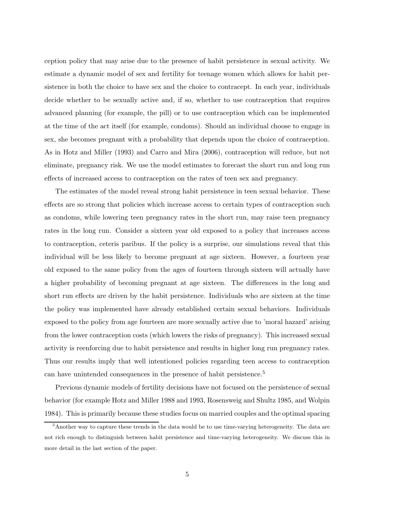ception policy that may arise due to the presence of habit persistence in sexual activity. We estimate a dynamic model of sex and fertility for teenage women which allows for habit persistence in both the choice to have sex and the choice to contracept. In each year, individuals decide whether to be sexually active and, if so, whether to use contraception that requires advanced planning (for example, the pill) or to use contraception which can be implemented at the time of the act itself (for example, condoms). Should an individual choose to engage in sex, she becomes pregnant with a probability that depends upon the choice of contraception. As in Hotz and Miller (1993) and Carro and Mira (2006), contraception will reduce, but not eliminate, pregnancy risk. We use the model estimates to forecast the short run and long run effects of increased access to contraception on the rates of teen sex and pregnancy.

The estimates of the model reveal strong habit persistence in teen sexual behavior. These effects are so strong that policies which increase access to certain types of contraception such as condoms, while lowering teen pregnancy rates in the short run, may raise teen pregnancy rates in the long run. Consider a sixteen year old exposed to a policy that increases access to contraception, ceteris paribus. If the policy is a surprise, our simulations reveal that this individual will be less likely to become pregnant at age sixteen. However, a fourteen year old exposed to the same policy from the ages of fourteen through sixteen will actually have a higher probability of becoming pregnant at age sixteen. The differences in the long and short run effects are driven by the habit persistence. Individuals who are sixteen at the time the policy was implemented have already established certain sexual behaviors. Individuals exposed to the policy from age fourteen are more sexually active due to 'moral hazard' arising from the lower contraception costs (which lowers the risks of pregnancy). This increased sexual activity is reenforcing due to habit persistence and results in higher long run pregnancy rates. Thus our results imply that well intentioned policies regarding teen access to contraception can have unintended consequences in the presence of habit persistence.<sup>5</sup>

Previous dynamic models of fertility decisions have not focused on the persistence of sexual behavior (for example Hotz and Miller 1988 and 1993, Rosensweig and Shultz 1985, and Wolpin 1984). This is primarily because these studies focus on married couples and the optimal spacing

<sup>&</sup>lt;sup>5</sup>Another way to capture these trends in the data would be to use time-varying heterogeneity. The data are not rich enough to distinguish between habit persistence and time-varying heterogeneity. We discuss this in more detail in the last section of the paper.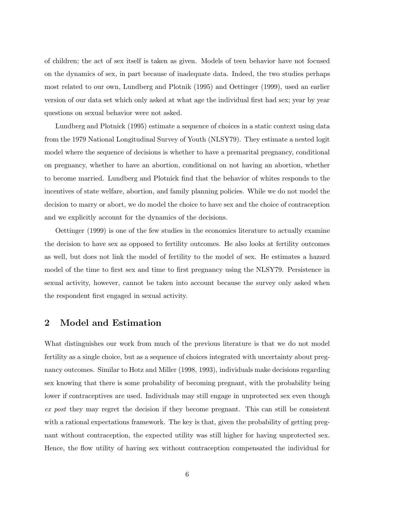of children; the act of sex itself is taken as given. Models of teen behavior have not focused on the dynamics of sex, in part because of inadequate data. Indeed, the two studies perhaps most related to our own, Lundberg and Plotnik (1995) and Oettinger (1999), used an earlier version of our data set which only asked at what age the individual first had sex; year by year questions on sexual behavior were not asked.

Lundberg and Plotnick (1995) estimate a sequence of choices in a static context using data from the 1979 National Longitudinal Survey of Youth (NLSY79). They estimate a nested logit model where the sequence of decisions is whether to have a premarital pregnancy, conditional on pregnancy, whether to have an abortion, conditional on not having an abortion, whether to become married. Lundberg and Plotnick find that the behavior of whites responds to the incentives of state welfare, abortion, and family planning policies. While we do not model the decision to marry or abort, we do model the choice to have sex and the choice of contraception and we explicitly account for the dynamics of the decisions.

Oettinger (1999) is one of the few studies in the economics literature to actually examine the decision to have sex as opposed to fertility outcomes. He also looks at fertility outcomes as well, but does not link the model of fertility to the model of sex. He estimates a hazard model of the time to first sex and time to first pregnancy using the NLSY79. Persistence in sexual activity, however, cannot be taken into account because the survey only asked when the respondent first engaged in sexual activity.

### 2 Model and Estimation

What distinguishes our work from much of the previous literature is that we do not model fertility as a single choice, but as a sequence of choices integrated with uncertainty about pregnancy outcomes. Similar to Hotz and Miller (1998, 1993), individuals make decisions regarding sex knowing that there is some probability of becoming pregnant, with the probability being lower if contraceptives are used. Individuals may still engage in unprotected sex even though ex post they may regret the decision if they become pregnant. This can still be consistent with a rational expectations framework. The key is that, given the probability of getting pregnant without contraception, the expected utility was still higher for having unprotected sex. Hence, the flow utility of having sex without contraception compensated the individual for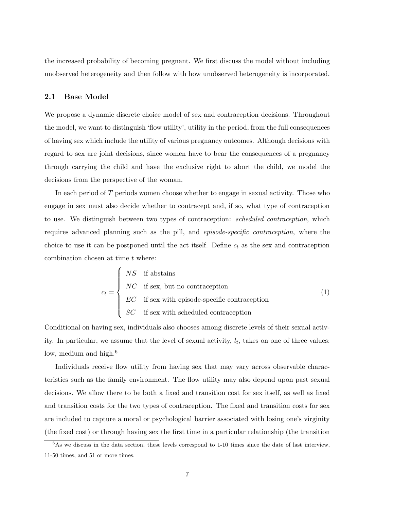the increased probability of becoming pregnant. We first discuss the model without including unobserved heterogeneity and then follow with how unobserved heterogeneity is incorporated.

### 2.1 Base Model

We propose a dynamic discrete choice model of sex and contraception decisions. Throughout the model, we want to distinguish 'flow utility', utility in the period, from the full consequences of having sex which include the utility of various pregnancy outcomes. Although decisions with regard to sex are joint decisions, since women have to bear the consequences of a pregnancy through carrying the child and have the exclusive right to abort the child, we model the decisions from the perspective of the woman.

In each period of T periods women choose whether to engage in sexual activity. Those who engage in sex must also decide whether to contracept and, if so, what type of contraception to use. We distinguish between two types of contraception: *scheduled contraception*, which requires advanced planning such as the pill, and episode-specific contraception, where the choice to use it can be postponed until the act itself. Define  $c_t$  as the sex and contraception combination chosen at time  $t$  where:

$$
c_t = \begin{cases} NS & \text{if abstains} \\ NC & \text{if sex, but no contraction} \\ EC & \text{if sex with episode-specific contraction} \\ SC & \text{if sex with scheduled contraction} \end{cases}
$$
 (1)

Conditional on having sex, individuals also chooses among discrete levels of their sexual activity. In particular, we assume that the level of sexual activity,  $l_t$ , takes on one of three values: low, medium and high.<sup>6</sup>

Individuals receive flow utility from having sex that may vary across observable characteristics such as the family environment. The flow utility may also depend upon past sexual decisions. We allow there to be both a fixed and transition cost for sex itself, as well as fixed and transition costs for the two types of contraception. The fixed and transition costs for sex are included to capture a moral or psychological barrier associated with losing one's virginity (the fixed cost) or through having sex the first time in a particular relationship (the transition

 $6$ As we discuss in the data section, these levels correspond to 1-10 times since the date of last interview, 11-50 times, and 51 or more times.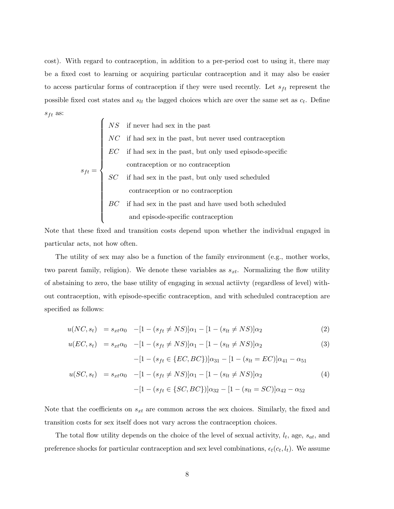cost). With regard to contraception, in addition to a per-period cost to using it, there may be a fixed cost to learning or acquiring particular contraception and it may also be easier to access particular forms of contraception if they were used recently. Let  $s_{ft}$  represent the possible fixed cost states and  $s_{lt}$  the lagged choices which are over the same set as  $c_t$ . Define  $s_{ft}$  as:

$$
s_{ft} = \left\{ \begin{array}{ll} NS & \text{if never had sex in the past} \\ NC & \text{if had sex in the past, but never used contraction} \\ EC & \text{if had sex in the past, but only used episode-specific} \\ contraception or no contraction \\ SC & \text{if had sex in the past, but only used scheduled} \\ contraction or no contraction \\ BC & \text{if had sex in the past and have used both scheduled} \\ and episode-specific contraction \end{array} \right.
$$

Note that these fixed and transition costs depend upon whether the individual engaged in particular acts, not how often.

The utility of sex may also be a function of the family environment (e.g., mother works, two parent family, religion). We denote these variables as  $s_{xt}$ . Normalizing the flow utility of abstaining to zero, the base utility of engaging in sexual actiivty (regardless of level) without contraception, with episode-specific contraception, and with scheduled contraception are specified as follows:

$$
u(NC, s_t) = s_{xt}\alpha_0 \quad -[1 - (s_{ft} \neq NS)]\alpha_1 - [1 - (s_{lt} \neq NS)]\alpha_2 \tag{2}
$$

$$
u(EC, s_t) = s_{xt}\alpha_0 \quad -[1 - (s_{ft} \neq NS)]\alpha_1 - [1 - (s_{lt} \neq NS)]\alpha_2 \tag{3}
$$
\n
$$
-[1 - (s_{ft} \in \{EC, BC\})]\alpha_{31} - [1 - (s_{lt} = EC)]\alpha_{41} - \alpha_{51}
$$
\n
$$
u(SC, s_t) = s_{xt}\alpha_0 \quad -[1 - (s_{ft} \neq NS)]\alpha_1 - [1 - (s_{lt} \neq NS)]\alpha_2 \tag{4}
$$
\n
$$
-[1 - (s_{ft} \in \{SC, BC\})]\alpha_{32} - [1 - (s_{lt} = SC)]\alpha_{42} - \alpha_{52} \tag{5}
$$

Note that the coefficients on  $s_{xt}$  are common across the sex choices. Similarly, the fixed and transition costs for sex itself does not vary across the contraception choices.

The total flow utility depends on the choice of the level of sexual activity,  $l_t$ , age,  $s_{at}$ , and preference shocks for particular contraception and sex level combinations,  $\epsilon_t(c_t, l_t)$ . We assume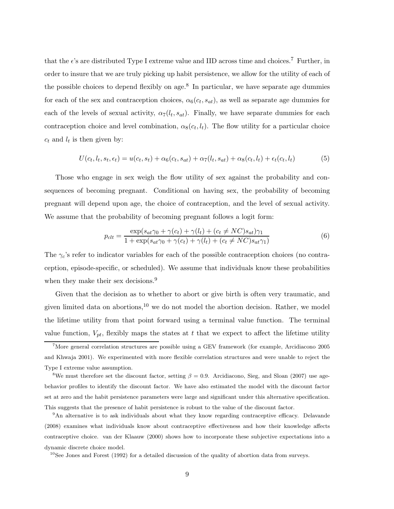that the  $\epsilon$ 's are distributed Type I extreme value and IID across time and choices.<sup>7</sup> Further, in order to insure that we are truly picking up habit persistence, we allow for the utility of each of the possible choices to depend flexibly on age.<sup>8</sup> In particular, we have separate age dummies for each of the sex and contraception choices,  $\alpha_6(c_t, s_{at})$ , as well as separate age dummies for each of the levels of sexual activity,  $\alpha_7(l_t, s_{at})$ . Finally, we have separate dummies for each contraception choice and level combination,  $\alpha_8(c_t, l_t)$ . The flow utility for a particular choice  $c_t$  and  $l_t$  is then given by:

$$
U(c_t, l_t, s_t, \epsilon_t) = u(c_t, s_t) + \alpha_6(c_t, s_{at}) + \alpha_7(l_t, s_{at}) + \alpha_8(c_t, l_t) + \epsilon_t(c_t, l_t)
$$
(5)

Those who engage in sex weigh the flow utility of sex against the probability and consequences of becoming pregnant. Conditional on having sex, the probability of becoming pregnant will depend upon age, the choice of contraception, and the level of sexual activity. We assume that the probability of becoming pregnant follows a logit form:

$$
p_{clt} = \frac{\exp(s_{at}\gamma_0 + \gamma(c_t) + \gamma(l_t) + (c_t \ne NC)s_{at})\gamma_1}{1 + \exp(s_{at}\gamma_0 + \gamma(c_t) + \gamma(l_t) + (c_t \ne NC)s_{at}\gamma_1)}
$$
(6)

The  $\gamma_c$ 's refer to indicator variables for each of the possible contraception choices (no contraception, episode-specific, or scheduled). We assume that individuals know these probabilities when they make their sex decisions.<sup>9</sup>

Given that the decision as to whether to abort or give birth is often very traumatic, and given limited data on abortions,  $^{10}$  we do not model the abortion decision. Rather, we model the lifetime utility from that point forward using a terminal value function. The terminal value function,  $V_{pt}$ , flexibly maps the states at t that we expect to affect the lifetime utility

 $10$ See Jones and Forest (1992) for a detailed discussion of the quality of abortion data from surveys.

<sup>7</sup>More general correlation structures are possible using a GEV framework (for example, Arcidiacono 2005 and Khwaja 2001). We experimented with more flexible correlation structures and were unable to reject the Type I extreme value assumption.

<sup>&</sup>lt;sup>8</sup>We must therefore set the discount factor, setting  $\beta = 0.9$ . Arcidiacono, Sieg, and Sloan (2007) use agebehavior profiles to identify the discount factor. We have also estimated the model with the discount factor set at zero and the habit persistence parameters were large and significant under this alternative specification. This suggests that the presence of habit persistence is robust to the value of the discount factor.

<sup>9</sup>An alternative is to ask individuals about what they know regarding contraceptive efficacy. Delavande (2008) examines what individuals know about contraceptive effectiveness and how their knowledge affects contraceptive choice. van der Klaauw (2000) shows how to incorporate these subjective expectations into a dynamic discrete choice model.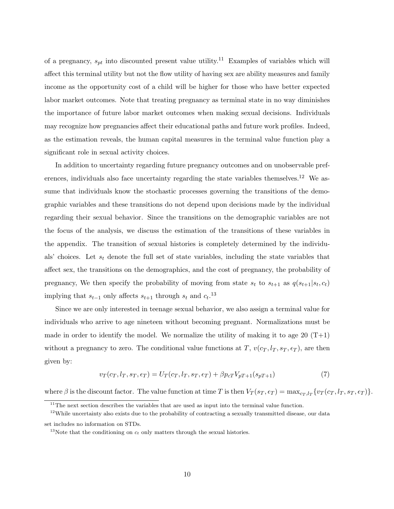of a pregnancy,  $s_{pt}$  into discounted present value utility.<sup>11</sup> Examples of variables which will affect this terminal utility but not the flow utility of having sex are ability measures and family income as the opportunity cost of a child will be higher for those who have better expected labor market outcomes. Note that treating pregnancy as terminal state in no way diminishes the importance of future labor market outcomes when making sexual decisions. Individuals may recognize how pregnancies affect their educational paths and future work profiles. Indeed, as the estimation reveals, the human capital measures in the terminal value function play a significant role in sexual activity choices.

In addition to uncertainty regarding future pregnancy outcomes and on unobservable preferences, individuals also face uncertainty regarding the state variables themselves.<sup>12</sup> We assume that individuals know the stochastic processes governing the transitions of the demographic variables and these transitions do not depend upon decisions made by the individual regarding their sexual behavior. Since the transitions on the demographic variables are not the focus of the analysis, we discuss the estimation of the transitions of these variables in the appendix. The transition of sexual histories is completely determined by the individuals' choices. Let  $s_t$  denote the full set of state variables, including the state variables that affect sex, the transitions on the demographics, and the cost of pregnancy, the probability of pregnancy, We then specify the probability of moving from state  $s_t$  to  $s_{t+1}$  as  $q(s_{t+1}|s_t, c_t)$ implying that  $s_{t-1}$  only affects  $s_{t+1}$  through  $s_t$  and  $c_t$ .<sup>13</sup>

Since we are only interested in teenage sexual behavior, we also assign a terminal value for individuals who arrive to age nineteen without becoming pregnant. Normalizations must be made in order to identify the model. We normalize the utility of making it to age 20  $(T+1)$ without a pregnancy to zero. The conditional value functions at T,  $v(c_T, l_T, s_T, \epsilon_T)$ , are then given by:

$$
v_T(c_T, l_T, s_T, \epsilon_T) = U_T(c_T, l_T, s_T, \epsilon_T) + \beta p_{cT} V_{pT+1}(s_{pT+1})
$$
\n
$$
(7)
$$

where  $\beta$  is the discount factor. The value function at time T is then  $V_T(s_T, \epsilon_T) = \max_{c_T, l_T} \{v_T(c_T, l_T, s_T, \epsilon_T)\}.$ 

 $\overline{11}$ The next section describes the variables that are used as input into the terminal value function.

<sup>&</sup>lt;sup>12</sup>While uncertainty also exists due to the probability of contracting a sexually transmitted disease, our data

set includes no information on STDs.

<sup>&</sup>lt;sup>13</sup>Note that the conditioning on  $c_t$  only matters through the sexual histories.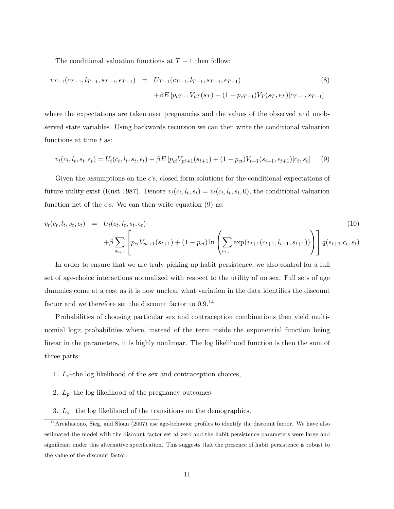The conditional valuation functions at  $T-1$  then follow:

$$
v_{T-1}(c_{T-1}, l_{T-1}, s_{T-1}, \epsilon_{T-1}) = U_{T-1}(c_{T-1}, l_{T-1}, s_{T-1}, \epsilon_{T-1})
$$
\n
$$
+ \beta E \left[ p_{cT-1} V_{pT}(s_T) + (1 - p_{cT-1}) V_T(s_T, \epsilon_T) | c_{T-1}, s_{T-1} \right]
$$
\n(8)

where the expectations are taken over pregnancies and the values of the observed and unobserved state variables. Using backwards recursion we can then write the conditional valuation functions at time  $t$  as:

$$
v_t(c_t, l_t, s_t, \epsilon_t) = U_t(c_t, l_t, s_t, \epsilon_t) + \beta E \left[ p_{ct} V_{pt+1}(s_{t+1}) + (1 - p_{ct}) V_{t+1}(s_{t+1}, \epsilon_{t+1}) | c_t, s_t \right] \tag{9}
$$

Given the assumptions on the  $\epsilon$ 's, closed form solutions for the conditional expectations of future utility exist (Rust 1987). Denote  $v_t(c_t, l_t, s_t) = v_t(c_t, l_t, s_t, 0)$ , the conditional valuation function net of the  $\epsilon$ 's. We can then write equation (9) as:

$$
v_t(c_t, l_t, s_t, \epsilon_t) = U_t(c_t, l_t, s_t, \epsilon_t) + \beta \sum_{s_{t+1}} \left[ p_{ct} V_{pt+1}(s_{t+1}) + (1 - p_{ct}) \ln \left( \sum_{c_{t+1}} \exp(v_{t+1}(c_{t+1}, l_{t+1}, s_{t+1})) \right) \right] q(s_{t+1}|c_t, s_t)
$$
\n
$$
(10)
$$

In order to ensure that we are truly picking up habit persistence, we also control for a full set of age-choice interactions normalized with respect to the utility of no sex. Full sets of age dummies come at a cost as it is now unclear what variation in the data identifies the discount factor and we therefore set the discount factor to 0.9.<sup>14</sup>

Probabilities of choosing particular sex and contraception combinations then yield multinomial logit probabilities where, instead of the term inside the exponential function being linear in the parameters, it is highly nonlinear. The log likelihood function is then the sum of three parts:

- 1.  $L_c$ –the log likelihood of the sex and contraception choices,
- 2.  $L_p$ –the log likelihood of the pregnancy outcomes
- 3.  $L_s$  the log likelihood of the transitions on the demographics.

<sup>&</sup>lt;sup>14</sup>Arcidiacono, Sieg, and Sloan (2007) use age-behavior profiles to identify the discount factor. We have also estimated the model with the discount factor set at zero and the habit persistence parameters were large and significant under this alternative specification. This suggests that the presence of habit persistence is robust to the value of the discount factor.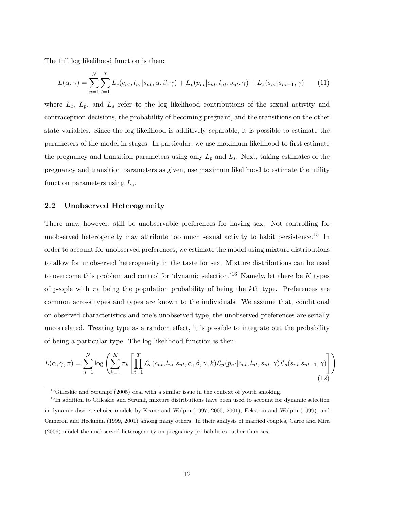The full log likelihood function is then:

$$
L(\alpha, \gamma) = \sum_{n=1}^{N} \sum_{t=1}^{T} L_c(c_{nt}, l_{nt} | s_{nt}, \alpha, \beta, \gamma) + L_p(p_{nt} | c_{nt}, l_{nt}, s_{nt}, \gamma) + L_s(s_{nt} | s_{nt-1}, \gamma)
$$
(11)

where  $L_c$ ,  $L_p$ , and  $L_s$  refer to the log likelihood contributions of the sexual activity and contraception decisions, the probability of becoming pregnant, and the transitions on the other state variables. Since the log likelihood is additively separable, it is possible to estimate the parameters of the model in stages. In particular, we use maximum likelihood to first estimate the pregnancy and transition parameters using only  $L_p$  and  $L_s$ . Next, taking estimates of the pregnancy and transition parameters as given, use maximum likelihood to estimate the utility function parameters using  $L_c$ .

### 2.2 Unobserved Heterogeneity

There may, however, still be unobservable preferences for having sex. Not controlling for unobserved heterogeneity may attribute too much sexual activity to habit persistence.<sup>15</sup> In order to account for unobserved preferences, we estimate the model using mixture distributions to allow for unobserved heterogeneity in the taste for sex. Mixture distributions can be used to overcome this problem and control for 'dynamic selection.'<sup>16</sup> Namely, let there be K types of people with  $\pi_k$  being the population probability of being the kth type. Preferences are common across types and types are known to the individuals. We assume that, conditional on observed characteristics and one's unobserved type, the unobserved preferences are serially uncorrelated. Treating type as a random effect, it is possible to integrate out the probability of being a particular type. The log likelihood function is then:

$$
L(\alpha, \gamma, \pi) = \sum_{n=1}^{N} \log \left( \sum_{k=1}^{K} \pi_k \left[ \prod_{t=1}^{T} \mathcal{L}_c(c_{nt}, l_{nt} | s_{nt}, \alpha, \beta, \gamma, k) \mathcal{L}_p(p_{nt} | c_{nt}, l_{nt}, s_{nt}, \gamma) \mathcal{L}_s(s_{nt} | s_{nt-1}, \gamma) \right] \right)
$$
(12)

<sup>&</sup>lt;sup>15</sup>Gilleskie and Strumpf (2005) deal with a similar issue in the context of youth smoking.

<sup>&</sup>lt;sup>16</sup>In addition to Gilleskie and Strumf, mixture distributions have been used to account for dynamic selection in dynamic discrete choice models by Keane and Wolpin (1997, 2000, 2001), Eckstein and Wolpin (1999), and Cameron and Heckman (1999, 2001) among many others. In their analysis of married couples, Carro and Mira (2006) model the unobserved heterogeneity on pregnancy probabilities rather than sex.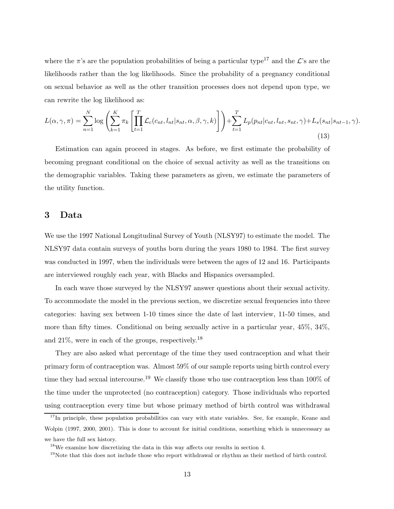where the  $\pi$ 's are the population probabilities of being a particular type<sup>17</sup> and the  $\mathcal{L}$ 's are the likelihoods rather than the log likelihoods. Since the probability of a pregnancy conditional on sexual behavior as well as the other transition processes does not depend upon type, we can rewrite the log likelihood as:

$$
L(\alpha, \gamma, \pi) = \sum_{n=1}^{N} \log \left( \sum_{k=1}^{K} \pi_k \left[ \prod_{t=1}^{T} \mathcal{L}_c(c_{nt}, l_{nt} | s_{nt}, \alpha, \beta, \gamma, k) \right] \right) + \sum_{t=1}^{T} L_p(p_{nt} | c_{nt}, l_{nt}, s_{nt}, \gamma) + L_s(s_{nt} | s_{nt-1}, \gamma).
$$
\n(13)

Estimation can again proceed in stages. As before, we first estimate the probability of becoming pregnant conditional on the choice of sexual activity as well as the transitions on the demographic variables. Taking these parameters as given, we estimate the parameters of the utility function.

## 3 Data

We use the 1997 National Longitudinal Survey of Youth (NLSY97) to estimate the model. The NLSY97 data contain surveys of youths born during the years 1980 to 1984. The first survey was conducted in 1997, when the individuals were between the ages of 12 and 16. Participants are interviewed roughly each year, with Blacks and Hispanics oversampled.

In each wave those surveyed by the NLSY97 answer questions about their sexual activity. To accommodate the model in the previous section, we discretize sexual frequencies into three categories: having sex between 1-10 times since the date of last interview, 11-50 times, and more than fifty times. Conditional on being sexually active in a particular year, 45%, 34%, and 21%, were in each of the groups, respectively.<sup>18</sup>

They are also asked what percentage of the time they used contraception and what their primary form of contraception was. Almost 59% of our sample reports using birth control every time they had sexual intercourse.<sup>19</sup> We classify those who use contraception less than 100% of the time under the unprotected (no contraception) category. Those individuals who reported using contraception every time but whose primary method of birth control was withdrawal

<sup>&</sup>lt;sup>17</sup>In principle, these population probabilities can vary with state variables. See, for example, Keane and Wolpin (1997, 2000, 2001). This is done to account for initial conditions, something which is unnecessary as we have the full sex history.

<sup>18</sup>We examine how discretizing the data in this way affects our results in section 4.

<sup>&</sup>lt;sup>19</sup>Note that this does not include those who report withdrawal or rhythm as their method of birth control.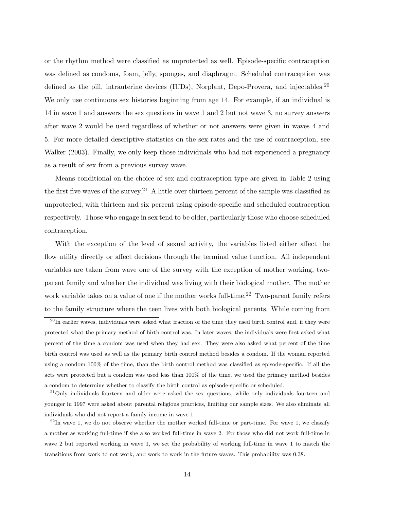or the rhythm method were classified as unprotected as well. Episode-specific contraception was defined as condoms, foam, jelly, sponges, and diaphragm. Scheduled contraception was defined as the pill, intrauterine devices (IUDs), Norplant, Depo-Provera, and injectables.<sup>20</sup> We only use continuous sex histories beginning from age 14. For example, if an individual is 14 in wave 1 and answers the sex questions in wave 1 and 2 but not wave 3, no survey answers after wave 2 would be used regardless of whether or not answers were given in waves 4 and 5. For more detailed descriptive statistics on the sex rates and the use of contraception, see Walker (2003). Finally, we only keep those individuals who had not experienced a pregnancy as a result of sex from a previous survey wave.

Means conditional on the choice of sex and contraception type are given in Table 2 using the first five waves of the survey.<sup>21</sup> A little over thirteen percent of the sample was classified as unprotected, with thirteen and six percent using episode-specific and scheduled contraception respectively. Those who engage in sex tend to be older, particularly those who choose scheduled contraception.

With the exception of the level of sexual activity, the variables listed either affect the flow utility directly or affect decisions through the terminal value function. All independent variables are taken from wave one of the survey with the exception of mother working, twoparent family and whether the individual was living with their biological mother. The mother work variable takes on a value of one if the mother works full-time.<sup>22</sup> Two-parent family refers to the family structure where the teen lives with both biological parents. While coming from

 $^{21}$ Only individuals fourteen and older were asked the sex questions, while only individuals fourteen and younger in 1997 were asked about parental religious practices, limiting our sample sizes. We also eliminate all individuals who did not report a family income in wave 1.

 $22$ In wave 1, we do not observe whether the mother worked full-time or part-time. For wave 1, we classify a mother as working full-time if she also worked full-time in wave 2. For those who did not work full-time in wave 2 but reported working in wave 1, we set the probability of working full-time in wave 1 to match the transitions from work to not work, and work to work in the future waves. This probability was 0.38.

<sup>&</sup>lt;sup>20</sup>In earlier waves, individuals were asked what fraction of the time they used birth control and, if they were protected what the primary method of birth control was. In later waves, the individuals were first asked what percent of the time a condom was used when they had sex. They were also asked what percent of the time birth control was used as well as the primary birth control method besides a condom. If the woman reported using a condom 100% of the time, than the birth control method was classified as episode-specific. If all the acts were protected but a condom was used less than 100% of the time, we used the primary method besides a condom to determine whether to classify the birth control as episode-specific or scheduled.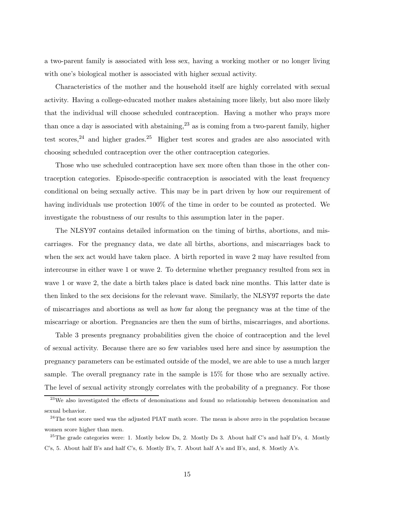a two-parent family is associated with less sex, having a working mother or no longer living with one's biological mother is associated with higher sexual activity.

Characteristics of the mother and the household itself are highly correlated with sexual activity. Having a college-educated mother makes abstaining more likely, but also more likely that the individual will choose scheduled contraception. Having a mother who prays more than once a day is associated with abstaining,  $2<sup>3</sup>$  as is coming from a two-parent family, higher test scores,  $24$  and higher grades.  $25$  Higher test scores and grades are also associated with choosing scheduled contraception over the other contraception categories.

Those who use scheduled contraception have sex more often than those in the other contraception categories. Episode-specific contraception is associated with the least frequency conditional on being sexually active. This may be in part driven by how our requirement of having individuals use protection 100% of the time in order to be counted as protected. We investigate the robustness of our results to this assumption later in the paper.

The NLSY97 contains detailed information on the timing of births, abortions, and miscarriages. For the pregnancy data, we date all births, abortions, and miscarriages back to when the sex act would have taken place. A birth reported in wave 2 may have resulted from intercourse in either wave 1 or wave 2. To determine whether pregnancy resulted from sex in wave 1 or wave 2, the date a birth takes place is dated back nine months. This latter date is then linked to the sex decisions for the relevant wave. Similarly, the NLSY97 reports the date of miscarriages and abortions as well as how far along the pregnancy was at the time of the miscarriage or abortion. Pregnancies are then the sum of births, miscarriages, and abortions.

Table 3 presents pregnancy probabilities given the choice of contraception and the level of sexual activity. Because there are so few variables used here and since by assumption the pregnancy parameters can be estimated outside of the model, we are able to use a much larger sample. The overall pregnancy rate in the sample is 15% for those who are sexually active. The level of sexual activity strongly correlates with the probability of a pregnancy. For those

 $23$ We also investigated the effects of denominations and found no relationship between denomination and sexual behavior.

<sup>&</sup>lt;sup>24</sup>The test score used was the adjusted PIAT math score. The mean is above zero in the population because women score higher than men.

 $25$ The grade categories were: 1. Mostly below Ds, 2. Mostly Ds 3. About half C's and half D's, 4. Mostly C's, 5. About half B's and half C's, 6. Mostly B's, 7. About half A's and B's, and, 8. Mostly A's.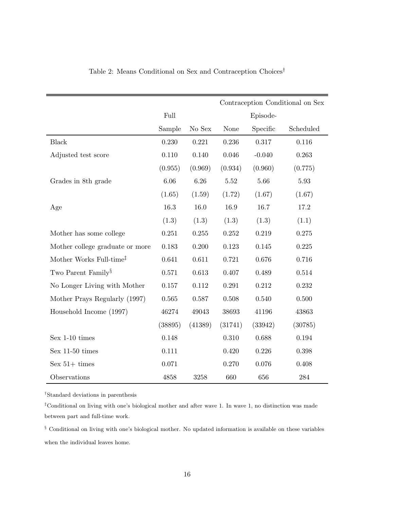|                                     |           |           |           |          | Contraception Conditional on Sex |
|-------------------------------------|-----------|-----------|-----------|----------|----------------------------------|
|                                     | Full      |           |           | Episode- |                                  |
|                                     | Sample    | No Sex    | None      | Specific | Scheduled                        |
| <b>Black</b>                        | 0.230     | 0.221     | 0.236     | 0.317    | 0.116                            |
| Adjusted test score                 | 0.110     | 0.140     | 0.046     | $-0.040$ | 0.263                            |
|                                     | (0.955)   | (0.969)   | (0.934)   | (0.960)  | (0.775)                          |
| Grades in 8th grade                 | 6.06      | 6.26      | 5.52      | 5.66     | 5.93                             |
|                                     | (1.65)    | (1.59)    | (1.72)    | (1.67)   | (1.67)                           |
| Age                                 | 16.3      | 16.0      | 16.9      | 16.7     | 17.2                             |
|                                     | (1.3)     | (1.3)     | (1.3)     | (1.3)    | (1.1)                            |
| Mother has some college             | 0.251     | 0.255     | 0.252     | 0.219    | 0.275                            |
| Mother college graduate or more     | 0.183     | 0.200     | 0.123     | 0.145    | 0.225                            |
| Mother Works Full-time <sup>‡</sup> | 0.641     | 0.611     | 0.721     | 0.676    | 0.716                            |
| Two Parent Family <sup>§</sup>      | 0.571     | 0.613     | 0.407     | 0.489    | 0.514                            |
| No Longer Living with Mother        | $0.157\,$ | $0.112\,$ | 0.291     | 0.212    | 0.232                            |
| Mother Prays Regularly (1997)       | 0.565     | 0.587     | $0.508\,$ | 0.540    | 0.500                            |
| Household Income (1997)             | 46274     | 49043     | 38693     | 41196    | 43863                            |
|                                     | (38895)   | (41389)   | (31741)   | (33942)  | (30785)                          |
| Sex 1-10 times                      | 0.148     |           | 0.310     | 0.688    | 0.194                            |
| Sex $11-50$ times                   | 0.111     |           | 0.420     | 0.226    | 0.398                            |
| Sex $51+$ times                     | 0.071     |           | 0.270     | 0.076    | 0.408                            |
| Observations                        | 4858      | 3258      | 660       | 656      | 284                              |

# Table 2: Means Conditional on Sex and Contraception  $\mathsf{Choices}^\dagger$

 $^\dagger \text{Standard~deviations in parentheses}$ 

‡Conditional on living with one's biological mother and after wave 1. In wave 1, no distinction was made between part and full-time work.

§ Conditional on living with one's biological mother. No updated information is available on these variables when the individual leaves home.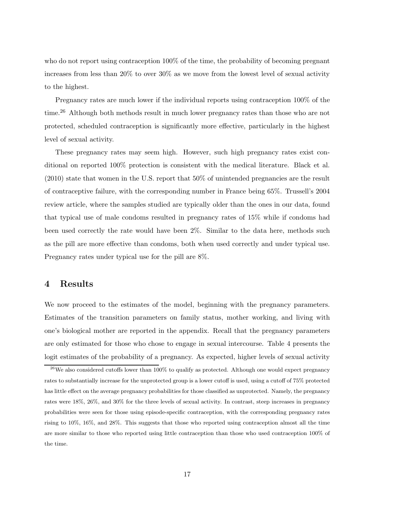who do not report using contraception 100% of the time, the probability of becoming pregnant increases from less than 20% to over 30% as we move from the lowest level of sexual activity to the highest.

Pregnancy rates are much lower if the individual reports using contraception 100% of the time.<sup>26</sup> Although both methods result in much lower pregnancy rates than those who are not protected, scheduled contraception is significantly more effective, particularly in the highest level of sexual activity.

These pregnancy rates may seem high. However, such high pregnancy rates exist conditional on reported 100% protection is consistent with the medical literature. Black et al. (2010) state that women in the U.S. report that 50% of unintended pregnancies are the result of contraceptive failure, with the corresponding number in France being 65%. Trussell's 2004 review article, where the samples studied are typically older than the ones in our data, found that typical use of male condoms resulted in pregnancy rates of 15% while if condoms had been used correctly the rate would have been 2%. Similar to the data here, methods such as the pill are more effective than condoms, both when used correctly and under typical use. Pregnancy rates under typical use for the pill are 8%.

### 4 Results

We now proceed to the estimates of the model, beginning with the pregnancy parameters. Estimates of the transition parameters on family status, mother working, and living with one's biological mother are reported in the appendix. Recall that the pregnancy parameters are only estimated for those who chose to engage in sexual intercourse. Table 4 presents the logit estimates of the probability of a pregnancy. As expected, higher levels of sexual activity

 $26$ We also considered cutoffs lower than 100% to qualify as protected. Although one would expect pregnancy rates to substantially increase for the unprotected group is a lower cutoff is used, using a cutoff of 75% protected has little effect on the average pregnancy probabilities for those classified as unprotected. Namely, the pregnancy rates were 18%, 26%, and 30% for the three levels of sexual activity. In contrast, steep increases in pregnancy probabilities were seen for those using episode-specific contraception, with the corresponding pregnancy rates rising to 10%, 16%, and 28%. This suggests that those who reported using contraception almost all the time are more similar to those who reported using little contraception than those who used contraception 100% of the time.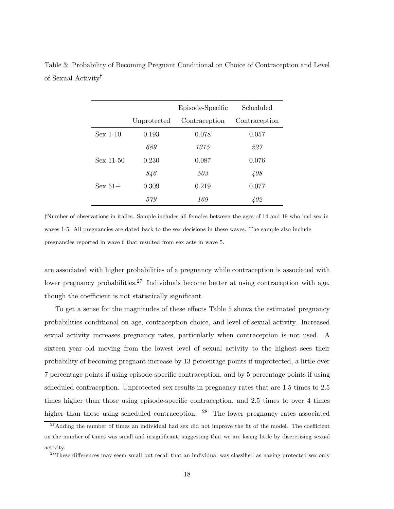|             |             | Episode-Specific | Scheduled     |
|-------------|-------------|------------------|---------------|
|             | Unprotected | Contraception    | Contraception |
| $Sex$ 1-10  | 0.193       | 0.078            | 0.057         |
|             | 689         | 1315             | 227           |
| $Sex 11-50$ | 0.230       | 0.087            | 0.076         |
|             | 846         | 503              | 408           |
| Sex $51+$   | 0.309       | 0.219            | 0.077         |
|             | 579         | 169              | 402           |

Table 3: Probability of Becoming Pregnant Conditional on Choice of Contraception and Level of Sexual Activity†

†Number of observations in italics. Sample includes all females between the ages of 14 and 19 who had sex in waves 1-5. All pregnancies are dated back to the sex decisions in these waves. The sample also include pregnancies reported in wave 6 that resulted from sex acts in wave 5.

are associated with higher probabilities of a pregnancy while contraception is associated with lower pregnancy probabilities.<sup>27</sup> Individuals become better at using contraception with age, though the coefficient is not statistically significant.

To get a sense for the magnitudes of these effects Table 5 shows the estimated pregnancy probabilities conditional on age, contraception choice, and level of sexual activity. Increased sexual activity increases pregnancy rates, particularly when contraception is not used. A sixteen year old moving from the lowest level of sexual activity to the highest sees their probability of becoming pregnant increase by 13 percentage points if unprotected, a little over 7 percentage points if using episode-specific contraception, and by 5 percentage points if using scheduled contraception. Unprotected sex results in pregnancy rates that are 1.5 times to 2.5 times higher than those using episode-specific contraception, and 2.5 times to over 4 times higher than those using scheduled contraception.  $28$  The lower pregnancy rates associated

 $27$ Adding the number of times an individual had sex did not improve the fit of the model. The coefficient on the number of times was small and insignificant, suggesting that we are losing little by discretizing sexual activity.

<sup>&</sup>lt;sup>28</sup>These differences may seem small but recall that an individual was classified as having protected sex only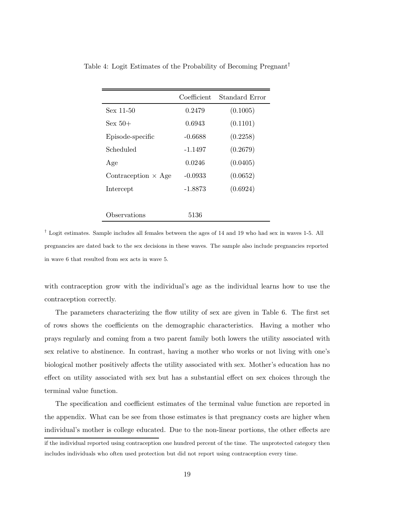|                            | Coefficient | Standard Error |
|----------------------------|-------------|----------------|
| Sex 11-50                  | 0.2479      | (0.1005)       |
| $Sex 50+$                  | 0.6943      | (0.1101)       |
| Episode-specific           | $-0.6688$   | (0.2258)       |
| Scheduled                  | -1.1497     | (0.2679)       |
| Age                        | 0.0246      | (0.0405)       |
| Contraception $\times$ Age | $-0.0933$   | (0.0652)       |
| Intercept                  | -1.8873     | (0.6924)       |
|                            |             |                |
| Observations               | 5136        |                |

Table 4: Logit Estimates of the Probability of Becoming Pregnant†

 $\dagger$  Logit estimates. Sample includes all females between the ages of 14 and 19 who had sex in waves 1-5. All pregnancies are dated back to the sex decisions in these waves. The sample also include pregnancies reported in wave 6 that resulted from sex acts in wave 5.

with contraception grow with the individual's age as the individual learns how to use the contraception correctly.

The parameters characterizing the flow utility of sex are given in Table 6. The first set of rows shows the coefficients on the demographic characteristics. Having a mother who prays regularly and coming from a two parent family both lowers the utility associated with sex relative to abstinence. In contrast, having a mother who works or not living with one's biological mother positively affects the utility associated with sex. Mother's education has no effect on utility associated with sex but has a substantial effect on sex choices through the terminal value function.

The specification and coefficient estimates of the terminal value function are reported in the appendix. What can be see from those estimates is that pregnancy costs are higher when individual's mother is college educated. Due to the non-linear portions, the other effects are

if the individual reported using contraception one hundred percent of the time. The unprotected category then includes individuals who often used protection but did not report using contraception every time.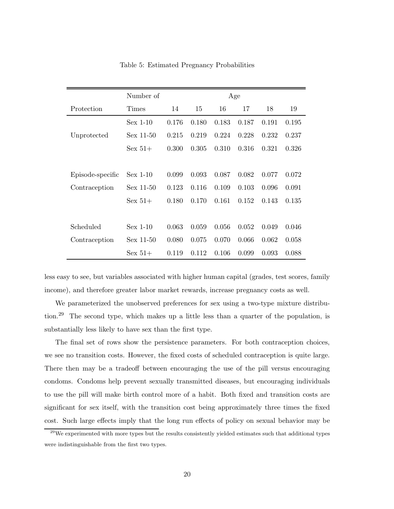|                  | Number of   |       |       |       | Age   |       |       |
|------------------|-------------|-------|-------|-------|-------|-------|-------|
| Protection       | Times       | 14    | 15    | 16    | 17    | 18    | 19    |
|                  | $Sex$ 1-10  | 0.176 | 0.180 | 0.183 | 0.187 | 0.191 | 0.195 |
| Unprotected      | $Sex$ 11-50 | 0.215 | 0.219 | 0.224 | 0.228 | 0.232 | 0.237 |
|                  | $Sex 51+$   | 0.300 | 0.305 | 0.310 | 0.316 | 0.321 | 0.326 |
|                  |             |       |       |       |       |       |       |
| Episode-specific | $Sex$ 1-10  | 0.099 | 0.093 | 0.087 | 0.082 | 0.077 | 0.072 |
| Contraception    | $Sex$ 11-50 | 0.123 | 0.116 | 0.109 | 0.103 | 0.096 | 0.091 |
|                  | $Sex 51+$   | 0.180 | 0.170 | 0.161 | 0.152 | 0.143 | 0.135 |
|                  |             |       |       |       |       |       |       |
| Scheduled        | $Sex$ 1-10  | 0.063 | 0.059 | 0.056 | 0.052 | 0.049 | 0.046 |
| Contraception    | $Sex$ 11-50 | 0.080 | 0.075 | 0.070 | 0.066 | 0.062 | 0.058 |
|                  | $Sex 51+$   | 0.119 | 0.112 | 0.106 | 0.099 | 0.093 | 0.088 |

Table 5: Estimated Pregnancy Probabilities

less easy to see, but variables associated with higher human capital (grades, test scores, family income), and therefore greater labor market rewards, increase pregnancy costs as well.

We parameterized the unobserved preferences for sex using a two-type mixture distribution.<sup>29</sup> The second type, which makes up a little less than a quarter of the population, is substantially less likely to have sex than the first type.

The final set of rows show the persistence parameters. For both contraception choices, we see no transition costs. However, the fixed costs of scheduled contraception is quite large. There then may be a tradeoff between encouraging the use of the pill versus encouraging condoms. Condoms help prevent sexually transmitted diseases, but encouraging individuals to use the pill will make birth control more of a habit. Both fixed and transition costs are significant for sex itself, with the transition cost being approximately three times the fixed cost. Such large effects imply that the long run effects of policy on sexual behavior may be

 $29$ We experimented with more types but the results consistently yielded estimates such that additional types were indistinguishable from the first two types.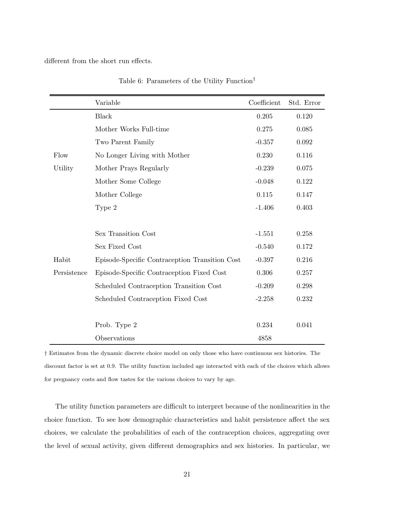different from the short run effects.

|             | Variable                                       | Coefficient | Std. Error |
|-------------|------------------------------------------------|-------------|------------|
|             | <b>Black</b>                                   | 0.205       | 0.120      |
|             | Mother Works Full-time                         | 0.275       | 0.085      |
|             | Two Parent Family                              | $-0.357$    | 0.092      |
| Flow        | No Longer Living with Mother                   | 0.230       | 0.116      |
| Utility     | Mother Prays Regularly                         | $-0.239$    | 0.075      |
|             | Mother Some College                            | $-0.048$    | 0.122      |
|             | Mother College                                 | 0.115       | 0.147      |
|             | Type 2                                         | $-1.406$    | 0.403      |
|             |                                                |             |            |
|             | Sex Transition Cost                            | $-1.551$    | 0.258      |
|             | Sex Fixed Cost                                 | $-0.540$    | 0.172      |
| Habit       | Episode-Specific Contraception Transition Cost | $-0.397$    | 0.216      |
| Persistence | Episode-Specific Contraception Fixed Cost      | 0.306       | 0.257      |
|             | Scheduled Contraception Transition Cost        | $-0.209$    | 0.298      |
|             | Scheduled Contraception Fixed Cost             | $-2.258$    | 0.232      |
|             |                                                |             |            |
|             | Prob. Type 2                                   | 0.234       | 0.041      |
|             | Observations                                   | 4858        |            |

Table 6: Parameters of the Utility Function†

† Estimates from the dynamic discrete choice model on only those who have continuous sex histories. The discount factor is set at 0.9. The utility function included age interacted with each of the choices which allows for pregnancy costs and flow tastes for the various choices to vary by age.

The utility function parameters are difficult to interpret because of the nonlinearities in the choice function. To see how demographic characteristics and habit persistence affect the sex choices, we calculate the probabilities of each of the contraception choices, aggregating over the level of sexual activity, given different demographics and sex histories. In particular, we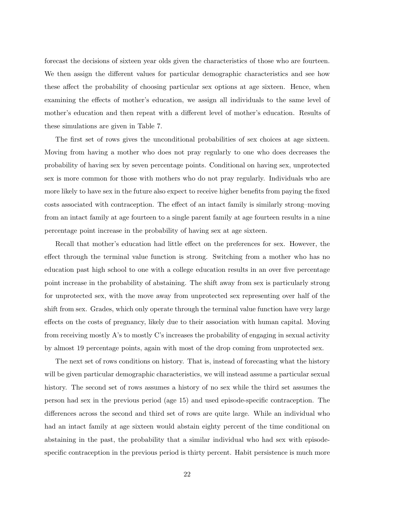forecast the decisions of sixteen year olds given the characteristics of those who are fourteen. We then assign the different values for particular demographic characteristics and see how these affect the probability of choosing particular sex options at age sixteen. Hence, when examining the effects of mother's education, we assign all individuals to the same level of mother's education and then repeat with a different level of mother's education. Results of these simulations are given in Table 7.

The first set of rows gives the unconditional probabilities of sex choices at age sixteen. Moving from having a mother who does not pray regularly to one who does decreases the probability of having sex by seven percentage points. Conditional on having sex, unprotected sex is more common for those with mothers who do not pray regularly. Individuals who are more likely to have sex in the future also expect to receive higher benefits from paying the fixed costs associated with contraception. The effect of an intact family is similarly strong–moving from an intact family at age fourteen to a single parent family at age fourteen results in a nine percentage point increase in the probability of having sex at age sixteen.

Recall that mother's education had little effect on the preferences for sex. However, the effect through the terminal value function is strong. Switching from a mother who has no education past high school to one with a college education results in an over five percentage point increase in the probability of abstaining. The shift away from sex is particularly strong for unprotected sex, with the move away from unprotected sex representing over half of the shift from sex. Grades, which only operate through the terminal value function have very large effects on the costs of pregnancy, likely due to their association with human capital. Moving from receiving mostly A's to mostly C's increases the probability of engaging in sexual activity by almost 19 percentage points, again with most of the drop coming from unprotected sex.

The next set of rows conditions on history. That is, instead of forecasting what the history will be given particular demographic characteristics, we will instead assume a particular sexual history. The second set of rows assumes a history of no sex while the third set assumes the person had sex in the previous period (age 15) and used episode-specific contraception. The differences across the second and third set of rows are quite large. While an individual who had an intact family at age sixteen would abstain eighty percent of the time conditional on abstaining in the past, the probability that a similar individual who had sex with episodespecific contraception in the previous period is thirty percent. Habit persistence is much more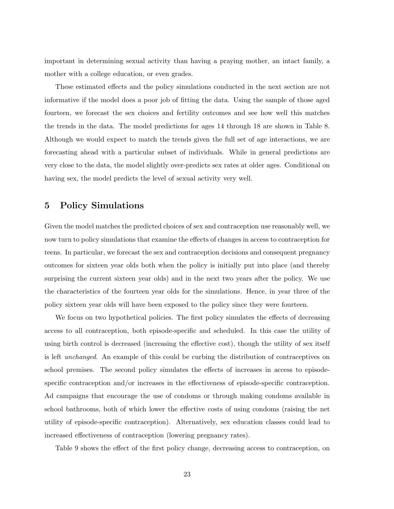important in determining sexual activity than having a praying mother, an intact family, a mother with a college education, or even grades.

These estimated effects and the policy simulations conducted in the next section are not informative if the model does a poor job of fitting the data. Using the sample of those aged fourteen, we forecast the sex choices and fertility outcomes and see how well this matches the trends in the data. The model predictions for ages 14 through 18 are shown in Table 8. Although we would expect to match the trends given the full set of age interactions, we are forecasting ahead with a particular subset of individuals. While in general predictions are very close to the data, the model slightly over-predicts sex rates at older ages. Conditional on having sex, the model predicts the level of sexual activity very well.

### 5 Policy Simulations

Given the model matches the predicted choices of sex and contraception use reasonably well, we now turn to policy simulations that examine the effects of changes in access to contraception for teens. In particular, we forecast the sex and contraception decisions and consequent pregnancy outcomes for sixteen year olds both when the policy is initially put into place (and thereby surprising the current sixteen year olds) and in the next two years after the policy. We use the characteristics of the fourteen year olds for the simulations. Hence, in year three of the policy sixteen year olds will have been exposed to the policy since they were fourteen.

We focus on two hypothetical policies. The first policy simulates the effects of decreasing access to all contraception, both episode-specific and scheduled. In this case the utility of using birth control is decreased (increasing the effective cost), though the utility of sex itself is left unchanged. An example of this could be curbing the distribution of contraceptives on school premises. The second policy simulates the effects of increases in access to episodespecific contraception and/or increases in the effectiveness of episode-specific contraception. Ad campaigns that encourage the use of condoms or through making condoms available in school bathrooms, both of which lower the effective costs of using condoms (raising the net utility of episode-specific contraception). Alternatively, sex education classes could lead to increased effectiveness of contraception (lowering pregnancy rates).

Table 9 shows the effect of the first policy change, decreasing access to contraception, on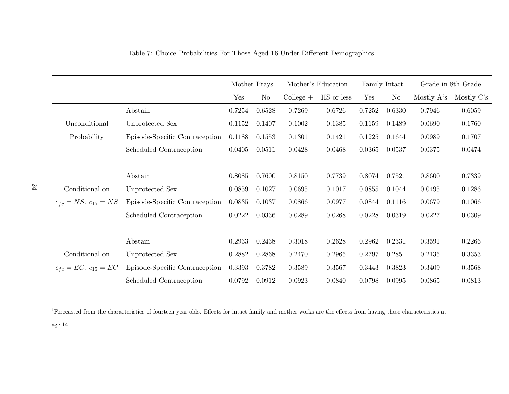|                            |                                |        | Mother Prays |                 | Mother's Education |        | Family Intact |              | Grade in 8th Grade |
|----------------------------|--------------------------------|--------|--------------|-----------------|--------------------|--------|---------------|--------------|--------------------|
|                            |                                | Yes    | No           | $Collect the +$ | HS or less         | Yes    | No            | Mostly $A's$ | Mostly C's         |
|                            | Abstain                        | 0.7254 | 0.6528       | 0.7269          | 0.6726             | 0.7252 | 0.6330        | 0.7946       | 0.6059             |
| Unconditional              | Unprotected Sex                | 0.1152 | 0.1407       | 0.1002          | 0.1385             | 0.1159 | 0.1489        | 0.0690       | 0.1760             |
| Probability                | Episode-Specific Contraception | 0.1188 | 0.1553       | 0.1301          | 0.1421             | 0.1225 | 0.1644        | 0.0989       | 0.1707             |
|                            | Scheduled Contraception        | 0.0405 | 0.0511       | 0.0428          | 0.0468             | 0.0365 | 0.0537        | 0.0375       | 0.0474             |
|                            |                                |        |              |                 |                    |        |               |              |                    |
|                            | Abstain                        | 0.8085 | 0.7600       | 0.8150          | 0.7739             | 0.8074 | 0.7521        | 0.8600       | 0.7339             |
| Conditional on             | Unprotected Sex                | 0.0859 | 0.1027       | 0.0695          | 0.1017             | 0.0855 | 0.1044        | 0.0495       | 0.1286             |
| $c_{fc} = NS, c_{15} = NS$ | Episode-Specific Contraception | 0.0835 | 0.1037       | 0.0866          | 0.0977             | 0.0844 | 0.1116        | 0.0679       | 0.1066             |
|                            | Scheduled Contraception        | 0.0222 | 0.0336       | 0.0289          | 0.0268             | 0.0228 | 0.0319        | 0.0227       | 0.0309             |
|                            |                                |        |              |                 |                    |        |               |              |                    |
|                            | Abstain                        | 0.2933 | 0.2438       | 0.3018          | 0.2628             | 0.2962 | 0.2331        | 0.3591       | 0.2266             |
| Conditional on             | Unprotected Sex                | 0.2882 | 0.2868       | 0.2470          | 0.2965             | 0.2797 | 0.2851        | 0.2135       | 0.3353             |
| $c_{fc} = EC, c_{15} = EC$ | Episode-Specific Contraception | 0.3393 | 0.3782       | 0.3589          | 0.3567             | 0.3443 | 0.3823        | 0.3409       | 0.3568             |
|                            | Scheduled Contraception        | 0.0792 | 0.0912       | 0.0923          | 0.0840             | 0.0798 | 0.0995        | 0.0865       | 0.0813             |
|                            |                                |        |              |                 |                    |        |               |              |                    |

Table 7: Choice Probabilities For Those Aged <sup>16</sup> Under Different Demographics †

†Forecasted from the characteristics of fourteen year-olds. Effects for intact family and mother works are the effects from having these characteristics at

age 14.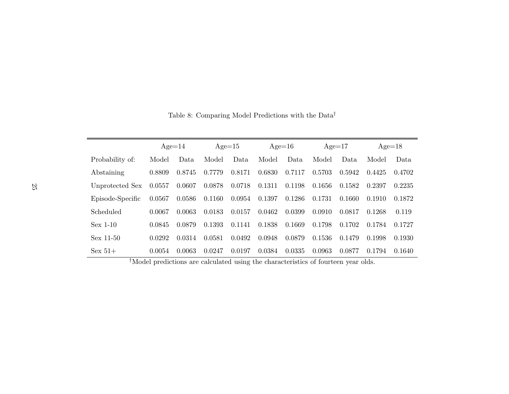|                  |        | $Age=14$ |        | $Age=15$ |        | $Age=16$ |        | $Age=17$ |        | $Age=18$ |
|------------------|--------|----------|--------|----------|--------|----------|--------|----------|--------|----------|
| Probability of:  | Model  | Data     | Model  | Data.    | Model  | Data     | Model  | Data     | Model  | Data     |
| Abstaining       | 0.8809 | 0.8745   | 0.7779 | 0.8171   | 0.6830 | 0.7117   | 0.5703 | 0.5942   | 0.4425 | 0.4702   |
| Unprotected Sex  | 0.0557 | 0.0607   | 0.0878 | 0.0718   | 0.1311 | 0.1198   | 0.1656 | 0.1582   | 0.2397 | 0.2235   |
| Episode-Specific | 0.0567 | 0.0586   | 0.1160 | 0.0954   | 0.1397 | 0.1286   | 0.1731 | 0.1660   | 0.1910 | 0.1872   |
| Scheduled        | 0.0067 | 0.0063   | 0.0183 | 0.0157   | 0.0462 | 0.0399   | 0.0910 | 0.0817   | 0.1268 | 0.119    |
| $Sex$ 1-10       | 0.0845 | 0.0879   | 0.1393 | 0.1141   | 0.1838 | 0.1669   | 0.1798 | 0.1702   | 0.1784 | 0.1727   |
| $Sex 11-50$      | 0.0292 | 0.0314   | 0.0581 | 0.0492   | 0.0948 | 0.0879   | 0.1536 | 0.1479   | 0.1998 | 0.1930   |
| $Sex 51+$        | 0.0054 | 0.0063   | 0.0247 | 0.0197   | 0.0384 | 0.0335   | 0.0963 | 0.0877   | 0.1794 | 0.1640   |

Table 8: Comparing Model Predictions with the  $\mathrm{Data}^\dagger$ 

†Model predictions are calculated using the characteristics of fourteen year olds.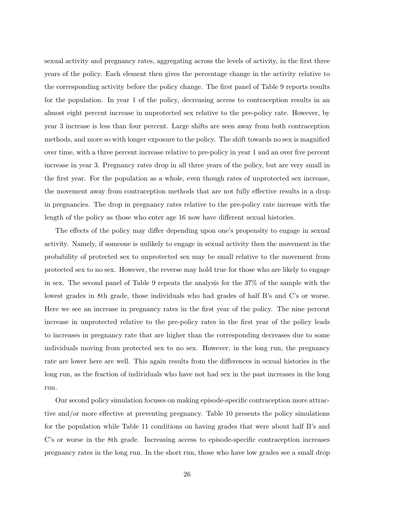sexual activity and pregnancy rates, aggregating across the levels of activity, in the first three years of the policy. Each element then gives the percentage change in the activity relative to the corresponding activity before the policy change. The first panel of Table 9 reports results for the population. In year 1 of the policy, decreasing access to contraception results in an almost eight percent increase in unprotected sex relative to the pre-policy rate. However, by year 3 increase is less than four percent. Large shifts are seen away from both contraception methods, and more so with longer exposure to the policy. The shift towards no sex is magnified over time, with a three percent increase relative to pre-policy in year 1 and an over five percent increase in year 3. Pregnancy rates drop in all three years of the policy, but are very small in the first year. For the population as a whole, even though rates of unprotected sex increase, the movement away from contraception methods that are not fully effective results in a drop in pregnancies. The drop in pregnancy rates relative to the pre-policy rate increase with the length of the policy as those who enter age 16 now have different sexual histories.

The effects of the policy may differ depending upon one's propensity to engage in sexual activity. Namely, if someone is unlikely to engage in sexual activity then the movement in the probability of protected sex to unprotected sex may be small relative to the movement from protected sex to no sex. However, the reverse may hold true for those who are likely to engage in sex. The second panel of Table 9 repeats the analysis for the 37% of the sample with the lowest grades in 8th grade, those individuals who had grades of half B's and C's or worse. Here we see an increase in pregnancy rates in the first year of the policy. The nine percent increase in unprotected relative to the pre-policy rates in the first year of the policy leads to increases in pregnancy rate that are higher than the corresponding decreases due to some individuals moving from protected sex to no sex. However, in the long run, the pregnancy rate are lower here are well. This again results from the differences in sexual histories in the long run, as the fraction of individuals who have not had sex in the past increases in the long run.

Our second policy simulation focuses on making episode-specific contraception more attractive and/or more effective at preventing pregnancy. Table 10 presents the policy simulations for the population while Table 11 conditions on having grades that were about half B's and C's or worse in the 8th grade. Increasing access to episode-specific contraception increases pregnancy rates in the long run. In the short run, those who have low grades see a small drop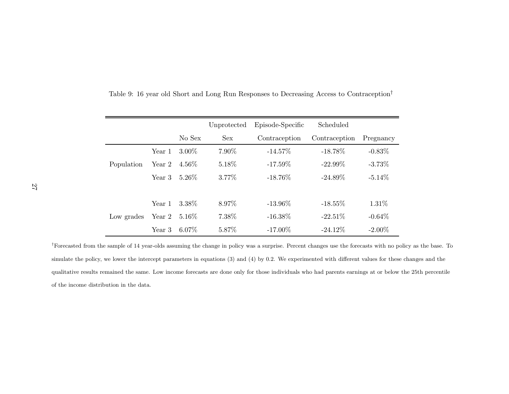|            |        |          | Unprotected | Episode-Specific | Scheduled     |           |
|------------|--------|----------|-------------|------------------|---------------|-----------|
|            |        | No Sex   | <b>Sex</b>  | Contraception    | Contraception | Pregnancy |
|            | Year 1 | $3.00\%$ | 7.90%       | $-14.57\%$       | $-18.78\%$    | $-0.83%$  |
| Population | Year 2 | $4.56\%$ | 5.18%       | $-17.59\%$       | $-22.99\%$    | $-3.73%$  |
|            | Year 3 | $5.26\%$ | 3.77\%      | $-18.76\%$       | $-24.89\%$    | $-5.14\%$ |
|            |        |          |             |                  |               |           |
|            | Year 1 | 3.38%    | 8.97%       | $-13.96\%$       | $-18.55\%$    | 1.31\%    |
| Low grades | Year 2 | $5.16\%$ | 7.38%       | $-16.38\%$       | $-22.51\%$    | $-0.64\%$ |
|            | Year 3 | $6.07\%$ | 5.87%       | $-17.00\%$       | $-24.12\%$    | $-2.00\%$ |

Table 9: <sup>16</sup> year old Short and Long Run Responses to Decreasing Access to Contraception†

†Forecasted from the sample of <sup>14</sup> year-olds assuming the change in policy was <sup>a</sup> surprise. Percent changes use the forecasts with no policy as the base. Tosimulate the policy, we lower the intercept parameters in equations (3) and (4) by 0.2. We experimented with different values for these changes and the qualitative results remained the same. Low income forecasts are done only for those individuals who had parents earnings at or below the 25th percentile of the income distribution in the data.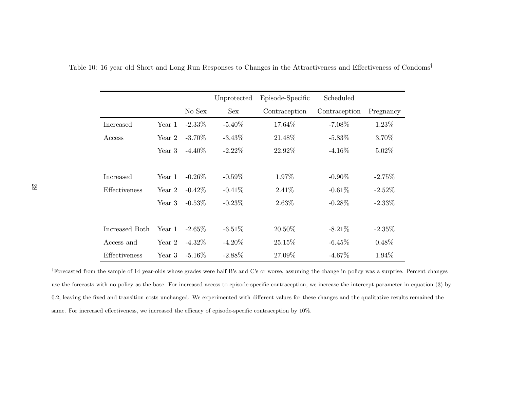|                  |        |           | Unprotected | Episode-Specific | Scheduled     |           |
|------------------|--------|-----------|-------------|------------------|---------------|-----------|
|                  |        | No Sex    | Sex         | Contraception    | Contraception | Pregnancy |
| Increased        | Year 1 | $-2.33\%$ | $-5.40\%$   | 17.64%           | $-7.08\%$     | 1.23\%    |
| Access           | Year 2 | $-3.70\%$ | $-3.43\%$   | 21.48\%          | $-5.83\%$     | 3.70%     |
|                  | Year 3 | $-4.40\%$ | $-2.22\%$   | 22.92\%          | $-4.16\%$     | $5.02\%$  |
|                  |        |           |             |                  |               |           |
| <b>Increased</b> | Year 1 | $-0.26\%$ | $-0.59\%$   | 1.97%            | $-0.90\%$     | $-2.75%$  |
| Effectiveness    | Year 2 | $-0.42\%$ | $-0.41\%$   | 2.41\%           | $-0.61%$      | $-2.52\%$ |
|                  | Year 3 | $-0.53\%$ | $-0.23%$    | 2.63%            | $-0.28\%$     | $-2.33\%$ |
|                  |        |           |             |                  |               |           |
| Increased Both   | Year 1 | $-2.65\%$ | $-6.51\%$   | 20.50\%          | $-8.21\%$     | $-2.35\%$ |
| Access and       | Year 2 | $-4.32\%$ | $-4.20\%$   | 25.15\%          | $-6.45%$      | $0.48\%$  |
| Effectiveness    | Year 3 | $-5.16\%$ | $-2.88\%$   | 27.09%           | $-4.67\%$     | 1.94\%    |

Table 10: 16 year old Short and Long Run Responses to Changes in the Attractiveness and Effectiveness of Condoms<sup>†</sup>

†Forecasted from the sample of <sup>14</sup> year-olds whose grades were half B's and C's or worse, assuming the change in policy was <sup>a</sup> surprise. Percent changes use the forecasts with no policy as the base. For increased access to episode-specific contraception, we increase the intercept parameter in equation (3) by0.2, leaving the fixed and transition costs unchanged. We experimented with different values for these changes and the qualitative results remained the same. For increased effectiveness, we increased the efficacy of episode-specific contraception by 10%.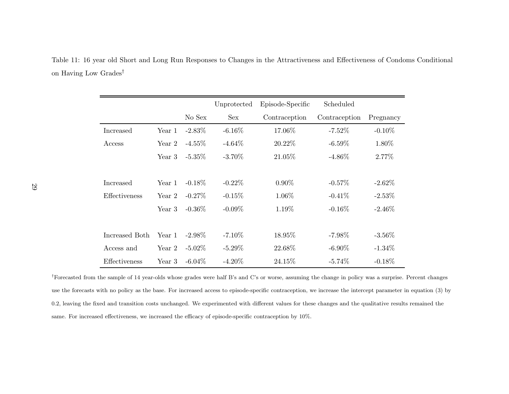Table 11: <sup>16</sup> year old Short and Long Run Responses to Changes in the Attractiveness and Effectiveness of Condoms Conditional on Having Low Grades †

|                |        |           | Unprotected | Episode-Specific | Scheduled     |           |
|----------------|--------|-----------|-------------|------------------|---------------|-----------|
|                |        | No Sex    | <b>Sex</b>  | Contraception    | Contraception | Pregnancy |
| Increased      | Year 1 | $-2.83\%$ | $-6.16\%$   | 17.06\%          | $-7.52\%$     | $-0.10\%$ |
| Access         | Year 2 | $-4.55\%$ | $-4.64\%$   | 20.22\%          | $-6.59\%$     | 1.80\%    |
|                | Year 3 | $-5.35\%$ | $-3.70\%$   | 21.05\%          | $-4.86\%$     | 2.77%     |
|                |        |           |             |                  |               |           |
| Increased      | Year 1 | $-0.18\%$ | $-0.22\%$   | $0.90\%$         | $-0.57\%$     | $-2.62\%$ |
| Effectiveness  | Year 2 | $-0.27\%$ | $-0.15%$    | 1.06\%           | $-0.41\%$     | $-2.53\%$ |
|                | Year 3 | $-0.36\%$ | $-0.09\%$   | 1.19%            | $-0.16\%$     | $-2.46\%$ |
|                |        |           |             |                  |               |           |
| Increased Both | Year 1 | $-2.98\%$ | $-7.10\%$   | 18.95%           | $-7.98\%$     | $-3.56\%$ |
| Access and     | Year 2 | $-5.02\%$ | $-5.29\%$   | 22.68%           | $-6.90\%$     | $-1.34\%$ |
| Effectiveness  | Year 3 | $-6.04\%$ | $-4.20\%$   | 24.15\%          | $-5.74%$      | $-0.18\%$ |

<sup>†</sup>Forecasted from the sample of 14 year-olds whose grades were half B's and C's or worse, assuming the change in policy was a surprise. Percent changes use the forecasts with no policy as the base. For increased access to episode-specific contraception, we increase the intercept parameter in equation (3) by0.2, leaving the fixed and transition costs unchanged. We experimented with different values for these changes and the qualitative results remained the same. For increased effectiveness, we increased the efficacy of episode-specific contraception by 10%.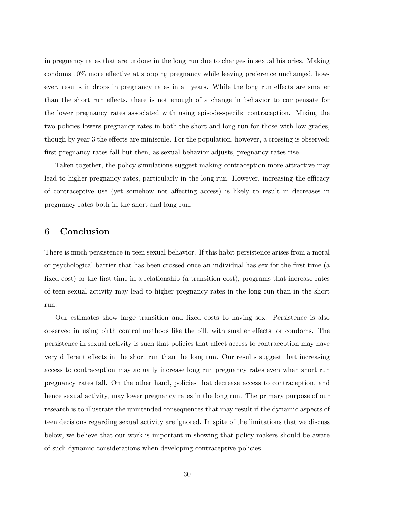in pregnancy rates that are undone in the long run due to changes in sexual histories. Making condoms 10% more effective at stopping pregnancy while leaving preference unchanged, however, results in drops in pregnancy rates in all years. While the long run effects are smaller than the short run effects, there is not enough of a change in behavior to compensate for the lower pregnancy rates associated with using episode-specific contraception. Mixing the two policies lowers pregnancy rates in both the short and long run for those with low grades, though by year 3 the effects are miniscule. For the population, however, a crossing is observed: first pregnancy rates fall but then, as sexual behavior adjusts, pregnancy rates rise.

Taken together, the policy simulations suggest making contraception more attractive may lead to higher pregnancy rates, particularly in the long run. However, increasing the efficacy of contraceptive use (yet somehow not affecting access) is likely to result in decreases in pregnancy rates both in the short and long run.

## 6 Conclusion

There is much persistence in teen sexual behavior. If this habit persistence arises from a moral or psychological barrier that has been crossed once an individual has sex for the first time (a fixed cost) or the first time in a relationship (a transition cost), programs that increase rates of teen sexual activity may lead to higher pregnancy rates in the long run than in the short run.

Our estimates show large transition and fixed costs to having sex. Persistence is also observed in using birth control methods like the pill, with smaller effects for condoms. The persistence in sexual activity is such that policies that affect access to contraception may have very different effects in the short run than the long run. Our results suggest that increasing access to contraception may actually increase long run pregnancy rates even when short run pregnancy rates fall. On the other hand, policies that decrease access to contraception, and hence sexual activity, may lower pregnancy rates in the long run. The primary purpose of our research is to illustrate the unintended consequences that may result if the dynamic aspects of teen decisions regarding sexual activity are ignored. In spite of the limitations that we discuss below, we believe that our work is important in showing that policy makers should be aware of such dynamic considerations when developing contraceptive policies.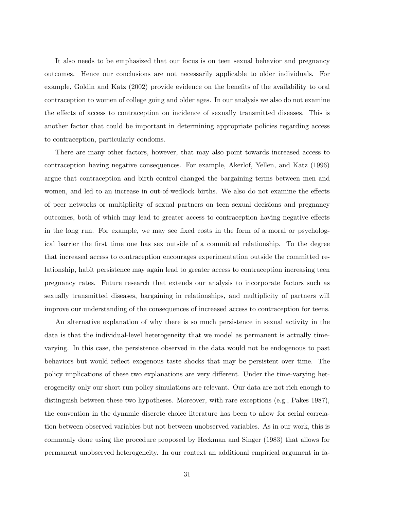It also needs to be emphasized that our focus is on teen sexual behavior and pregnancy outcomes. Hence our conclusions are not necessarily applicable to older individuals. For example, Goldin and Katz (2002) provide evidence on the benefits of the availability to oral contraception to women of college going and older ages. In our analysis we also do not examine the effects of access to contraception on incidence of sexually transmitted diseases. This is another factor that could be important in determining appropriate policies regarding access to contraception, particularly condoms.

There are many other factors, however, that may also point towards increased access to contraception having negative consequences. For example, Akerlof, Yellen, and Katz (1996) argue that contraception and birth control changed the bargaining terms between men and women, and led to an increase in out-of-wedlock births. We also do not examine the effects of peer networks or multiplicity of sexual partners on teen sexual decisions and pregnancy outcomes, both of which may lead to greater access to contraception having negative effects in the long run. For example, we may see fixed costs in the form of a moral or psychological barrier the first time one has sex outside of a committed relationship. To the degree that increased access to contraception encourages experimentation outside the committed relationship, habit persistence may again lead to greater access to contraception increasing teen pregnancy rates. Future research that extends our analysis to incorporate factors such as sexually transmitted diseases, bargaining in relationships, and multiplicity of partners will improve our understanding of the consequences of increased access to contraception for teens.

An alternative explanation of why there is so much persistence in sexual activity in the data is that the individual-level heterogeneity that we model as permanent is actually timevarying. In this case, the persistence observed in the data would not be endogenous to past behaviors but would reflect exogenous taste shocks that may be persistent over time. The policy implications of these two explanations are very different. Under the time-varying heterogeneity only our short run policy simulations are relevant. Our data are not rich enough to distinguish between these two hypotheses. Moreover, with rare exceptions (e.g., Pakes 1987), the convention in the dynamic discrete choice literature has been to allow for serial correlation between observed variables but not between unobserved variables. As in our work, this is commonly done using the procedure proposed by Heckman and Singer (1983) that allows for permanent unobserved heterogeneity. In our context an additional empirical argument in fa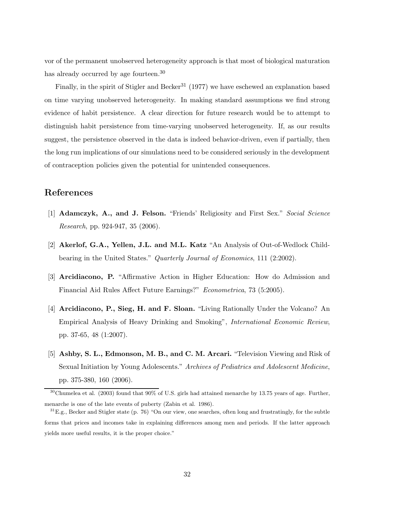vor of the permanent unobserved heterogeneity approach is that most of biological maturation has already occurred by age fourteen.<sup>30</sup>

Finally, in the spirit of Stigler and Becker<sup>31</sup> (1977) we have eschewed an explanation based on time varying unobserved heterogeneity. In making standard assumptions we find strong evidence of habit persistence. A clear direction for future research would be to attempt to distinguish habit persistence from time-varying unobserved heterogeneity. If, as our results suggest, the persistence observed in the data is indeed behavior-driven, even if partially, then the long run implications of our simulations need to be considered seriously in the development of contraception policies given the potential for unintended consequences.

### References

- [1] Adamczyk, A., and J. Felson. "Friends' Religiosity and First Sex." Social Science Research, pp. 924-947, 35 (2006).
- [2] Akerlof, G.A., Yellen, J.L. and M.L. Katz "An Analysis of Out-of-Wedlock Childbearing in the United States." Quarterly Journal of Economics, 111 (2:2002).
- [3] Arcidiacono, P. "Affirmative Action in Higher Education: How do Admission and Financial Aid Rules Affect Future Earnings?" Econometrica, 73 (5:2005).
- [4] Arcidiacono, P., Sieg, H. and F. Sloan. "Living Rationally Under the Volcano? An Empirical Analysis of Heavy Drinking and Smoking", International Economic Review, pp. 37-65, 48 (1:2007).
- [5] Ashby, S. L., Edmonson, M. B., and C. M. Arcari. "Television Viewing and Risk of Sexual Initiation by Young Adolescents." Archives of Pediatrics and Adolescent Medicine, pp. 375-380, 160 (2006).

<sup>30</sup>Chumelea et al. (2003) found that 90% of U.S. girls had attained menarche by 13.75 years of age. Further, menarche is one of the late events of puberty (Zabin et al. 1986).

 $31E.g.,$  Becker and Stigler state (p. 76) "On our view, one searches, often long and frustratingly, for the subtle forms that prices and incomes take in explaining differences among men and periods. If the latter approach yields more useful results, it is the proper choice."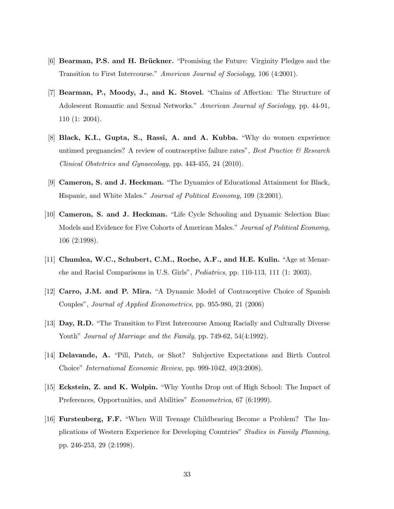- [6] **Bearman, P.S. and H. Brückner.** "Promising the Future: Virginity Pledges and the Transition to First Intercourse." American Journal of Sociology, 106 (4:2001).
- [7] Bearman, P., Moody, J., and K. Stovel. "Chains of Affection: The Structure of Adolescent Romantic and Sexual Networks." American Journal of Sociology, pp. 44-91, 110 (1: 2004).
- [8] Black, K.I., Gupta, S., Rassi, A. and A. Kubba. "Why do women experience untimed pregnancies? A review of contraceptive failure rates", Best Practice  $\mathcal{B}$  Research Clinical Obstetrics and Gynaecology, pp. 443-455, 24 (2010).
- [9] Cameron, S. and J. Heckman. "The Dynamics of Educational Attainment for Black, Hispanic, and White Males." Journal of Political Economy, 109 (3:2001).
- [10] Cameron, S. and J. Heckman. "Life Cycle Schooling and Dynamic Selection Bias: Models and Evidence for Five Cohorts of American Males." Journal of Political Economy, 106 (2:1998).
- [11] Chumlea, W.C., Schubert, C.M., Roche, A.F., and H.E. Kulin. "Age at Menarche and Racial Comparisons in U.S. Girls", Pediatrics, pp. 110-113, 111 (1: 2003).
- [12] Carro, J.M. and P. Mira. "A Dynamic Model of Contraceptive Choice of Spanish Couples", Journal of Applied Econometrics, pp. 955-980, 21 (2006)
- [13] Day, R.D. "The Transition to First Intercourse Among Racially and Culturally Diverse Youth" *Journal of Marriage and the Family*, pp. 749-62, 54(4:1992).
- [14] Delavande, A. "Pill, Patch, or Shot? Subjective Expectations and Birth Control Choice" International Economic Review, pp. 999-1042, 49(3:2008).
- [15] Eckstein, Z. and K. Wolpin. "Why Youths Drop out of High School: The Impact of Preferences, Opportunities, and Abilities" Econometrica, 67 (6:1999).
- [16] Furstenberg, F.F. "When Will Teenage Childbearing Become a Problem? The Implications of Western Experience for Developing Countries" Studies in Family Planning, pp. 246-253, 29 (2:1998).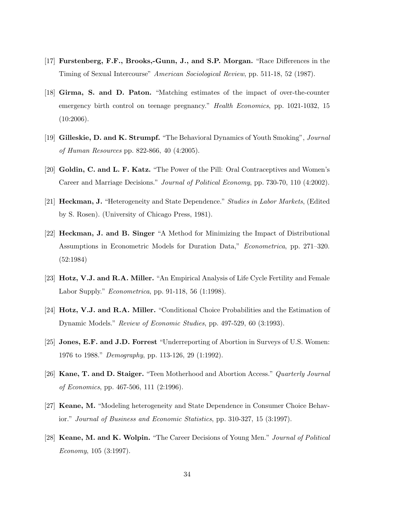- [17] Furstenberg, F.F., Brooks,-Gunn, J., and S.P. Morgan. "Race Differences in the Timing of Sexual Intercourse" American Sociological Review, pp. 511-18, 52 (1987).
- [18] Girma, S. and D. Paton. "Matching estimates of the impact of over-the-counter emergency birth control on teenage pregnancy." Health Economics, pp. 1021-1032, 15  $(10:2006).$
- [19] Gilleskie, D. and K. Strumpf. "The Behavioral Dynamics of Youth Smoking", Journal of Human Resources pp. 822-866, 40 (4:2005).
- [20] Goldin, C. and L. F. Katz. "The Power of the Pill: Oral Contraceptives and Women's Career and Marriage Decisions." Journal of Political Economy, pp. 730-70, 110 (4:2002).
- [21] Heckman, J. "Heterogeneity and State Dependence." Studies in Labor Markets, (Edited by S. Rosen). (University of Chicago Press, 1981).
- [22] Heckman, J. and B. Singer "A Method for Minimizing the Impact of Distributional Assumptions in Econometric Models for Duration Data," Econometrica, pp. 271–320. (52:1984)
- [23] Hotz, V.J. and R.A. Miller. "An Empirical Analysis of Life Cycle Fertility and Female Labor Supply." Econometrica, pp. 91-118, 56 (1:1998).
- [24] Hotz, V.J. and R.A. Miller. "Conditional Choice Probabilities and the Estimation of Dynamic Models." Review of Economic Studies, pp. 497-529, 60 (3:1993).
- [25] Jones, E.F. and J.D. Forrest "Underreporting of Abortion in Surveys of U.S. Women: 1976 to 1988." Demography, pp. 113-126, 29 (1:1992).
- [26] Kane, T. and D. Staiger. "Teen Motherhood and Abortion Access." Quarterly Journal of Economics, pp. 467-506, 111 (2:1996).
- [27] Keane, M. "Modeling heterogeneity and State Dependence in Consumer Choice Behavior." Journal of Business and Economic Statistics, pp. 310-327, 15 (3:1997).
- [28] Keane, M. and K. Wolpin. "The Career Decisions of Young Men." Journal of Political Economy, 105 (3:1997).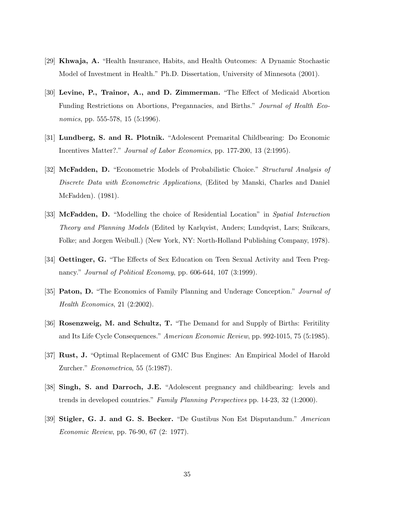- [29] Khwaja, A. "Health Insurance, Habits, and Health Outcomes: A Dynamic Stochastic Model of Investment in Health." Ph.D. Dissertation, University of Minnesota (2001).
- [30] Levine, P., Trainor, A., and D. Zimmerman. "The Effect of Medicaid Abortion Funding Restrictions on Abortions, Pregannacies, and Births." Journal of Health Economics, pp. 555-578, 15 (5:1996).
- [31] Lundberg, S. and R. Plotnik. "Adolescent Premarital Childbearing: Do Economic Incentives Matter?." *Journal of Labor Economics*, pp. 177-200, 13 (2:1995).
- [32] McFadden, D. "Econometric Models of Probabilistic Choice." Structural Analysis of Discrete Data with Econometric Applications, (Edited by Manski, Charles and Daniel McFadden). (1981).
- [33] McFadden, D. "Modelling the choice of Residential Location" in Spatial Interaction Theory and Planning Models (Edited by Karlqvist, Anders; Lundqvist, Lars; Snikcars, Folke; and Jorgen Weibull.) (New York, NY: North-Holland Publishing Company, 1978).
- [34] Oettinger, G. "The Effects of Sex Education on Teen Sexual Activity and Teen Pregnancy." *Journal of Political Economy*, pp. 606-644, 107 (3:1999).
- [35] Paton, D. "The Economics of Family Planning and Underage Conception." Journal of Health Economics, 21 (2:2002).
- [36] Rosenzweig, M. and Schultz, T. "The Demand for and Supply of Births: Feritility and Its Life Cycle Consequences." American Economic Review, pp. 992-1015, 75 (5:1985).
- [37] Rust, J. "Optimal Replacement of GMC Bus Engines: An Empirical Model of Harold Zurcher." Econometrica, 55 (5:1987).
- [38] Singh, S. and Darroch, J.E. "Adolescent pregnancy and childbearing: levels and trends in developed countries." Family Planning Perspectives pp. 14-23, 32 (1:2000).
- [39] Stigler, G. J. and G. S. Becker. "De Gustibus Non Est Disputandum." American Economic Review, pp. 76-90, 67 (2: 1977).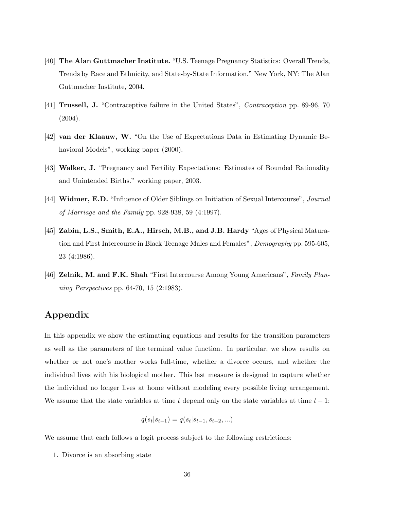- [40] The Alan Guttmacher Institute. "U.S. Teenage Pregnancy Statistics: Overall Trends, Trends by Race and Ethnicity, and State-by-State Information." New York, NY: The Alan Guttmacher Institute, 2004.
- [41] **Trussell, J.** "Contraceptive failure in the United States", *Contraception* pp. 89-96, 70  $(2004).$
- [42] van der Klaauw, W. "On the Use of Expectations Data in Estimating Dynamic Behavioral Models", working paper (2000).
- [43] Walker, J. "Pregnancy and Fertility Expectations: Estimates of Bounded Rationality and Unintended Births." working paper, 2003.
- [44] Widmer, E.D. "Influence of Older Siblings on Initiation of Sexual Intercourse", Journal of Marriage and the Family pp. 928-938, 59 (4:1997).
- [45] Zabin, L.S., Smith, E.A., Hirsch, M.B., and J.B. Hardy "Ages of Physical Maturation and First Intercourse in Black Teenage Males and Females", Demography pp. 595-605, 23 (4:1986).
- [46] Zelnik, M. and F.K. Shah "First Intercourse Among Young Americans", Family Planning Perspectives pp. 64-70, 15 (2:1983).

# Appendix

In this appendix we show the estimating equations and results for the transition parameters as well as the parameters of the terminal value function. In particular, we show results on whether or not one's mother works full-time, whether a divorce occurs, and whether the individual lives with his biological mother. This last measure is designed to capture whether the individual no longer lives at home without modeling every possible living arrangement. We assume that the state variables at time t depend only on the state variables at time  $t - 1$ :

$$
q(s_t|s_{t-1}) = q(s_t|s_{t-1}, s_{t-2}, \ldots)
$$

We assume that each follows a logit process subject to the following restrictions:

1. Divorce is an absorbing state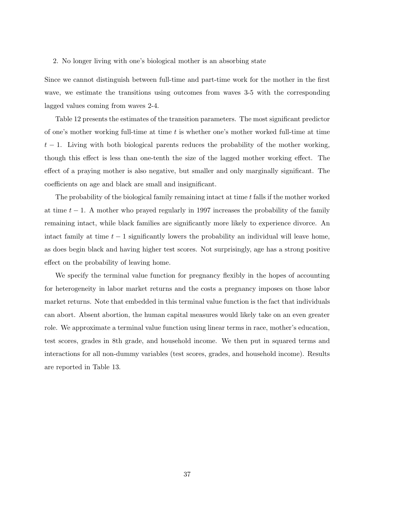#### 2. No longer living with one's biological mother is an absorbing state

Since we cannot distinguish between full-time and part-time work for the mother in the first wave, we estimate the transitions using outcomes from waves 3-5 with the corresponding lagged values coming from waves 2-4.

Table 12 presents the estimates of the transition parameters. The most significant predictor of one's mother working full-time at time  $t$  is whether one's mother worked full-time at time  $t-1$ . Living with both biological parents reduces the probability of the mother working, though this effect is less than one-tenth the size of the lagged mother working effect. The effect of a praying mother is also negative, but smaller and only marginally significant. The coefficients on age and black are small and insignificant.

The probability of the biological family remaining intact at time  $t$  falls if the mother worked at time  $t - 1$ . A mother who prayed regularly in 1997 increases the probability of the family remaining intact, while black families are significantly more likely to experience divorce. An intact family at time  $t - 1$  significantly lowers the probability an individual will leave home, as does begin black and having higher test scores. Not surprisingly, age has a strong positive effect on the probability of leaving home.

We specify the terminal value function for pregnancy flexibly in the hopes of accounting for heterogeneity in labor market returns and the costs a pregnancy imposes on those labor market returns. Note that embedded in this terminal value function is the fact that individuals can abort. Absent abortion, the human capital measures would likely take on an even greater role. We approximate a terminal value function using linear terms in race, mother's education, test scores, grades in 8th grade, and household income. We then put in squared terms and interactions for all non-dummy variables (test scores, grades, and household income). Results are reported in Table 13.